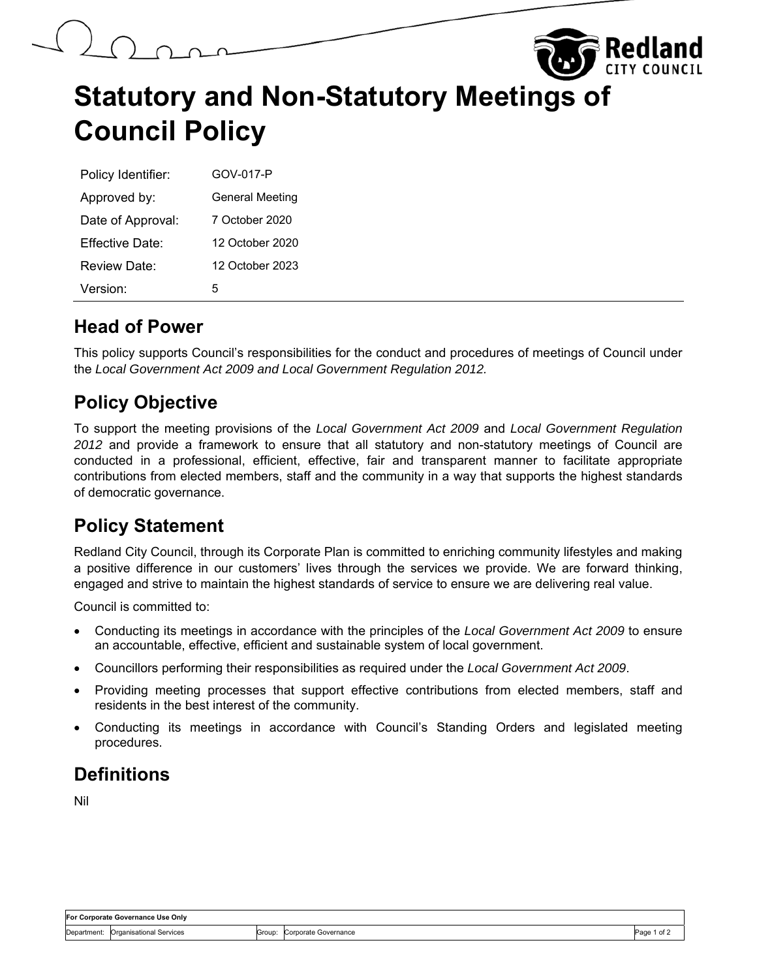## **Statutory and Non-Statutory Meetings of Council Policy**

| Policy Identifier: | GOV-017-P              |
|--------------------|------------------------|
| Approved by:       | <b>General Meeting</b> |
| Date of Approval:  | 7 October 2020         |
| Fffective Date:    | 12 October 2020        |
| Review Date:       | 12 October 2023        |
| Version:           | 5                      |

## **Head of Power**

This policy supports Council's responsibilities for the conduct and procedures of meetings of Council under the *Local Government Act 2009 and Local Government Regulation 2012.* 

## **Policy Objective**

To support the meeting provisions of the *Local Government Act 2009* and *Local Government Regulation 2012* and provide a framework to ensure that all statutory and non-statutory meetings of Council are conducted in a professional, efficient, effective, fair and transparent manner to facilitate appropriate contributions from elected members, staff and the community in a way that supports the highest standards of democratic governance.

## **Policy Statement**

Redland City Council, through its Corporate Plan is committed to enriching community lifestyles and making a positive difference in our customers' lives through the services we provide. We are forward thinking, engaged and strive to maintain the highest standards of service to ensure we are delivering real value.

Council is committed to:

- Conducting its meetings in accordance with the principles of the *Local Government Act 2009* to ensure an accountable, effective, efficient and sustainable system of local government.
- Councillors performing their responsibilities as required under the *Local Government Act 2009*.
- Providing meeting processes that support effective contributions from elected members, staff and residents in the best interest of the community.
- Conducting its meetings in accordance with Council's Standing Orders and legislated meeting procedures.

## **Definitions**

Nil

| For Corporate Governance Use Only |                                     |        |                      |                  |
|-----------------------------------|-------------------------------------|--------|----------------------|------------------|
|                                   | Department: Organisational Services | Group: | Corporate Governance | Page 1<br>1 of ≽ |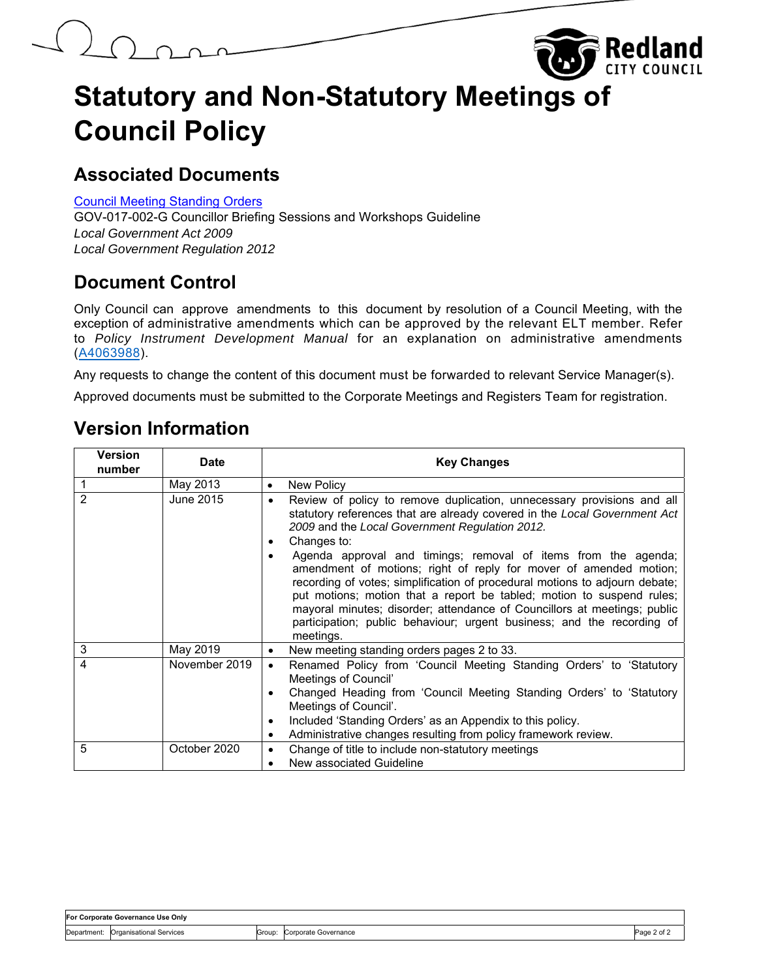## **Statutory and Non-Statutory Meetings of Council Policy**

Redland

## **Associated Documents**

Council [Meeting Standing](#page-2-0) Orders

GOV-017-002-G Councillor Briefing Sessions and Workshops Guideline *Local Government Act 2009 Local Government Regulation 2012*

## **Document Control**

Only Council can approve amendments to this document by resolution of a Council Meeting, with the exception of administrative amendments which can be approved by the relevant ELT member. Refer to *Policy Instrument Development Manual* for an explanation on administrative amendments (A4063988).

Any requests to change the content of this document must be forwarded to relevant Service Manager(s).

Approved documents must be submitted to the Corporate Meetings and Registers Team for registration.

## **Version Information**

| Version<br>number | <b>Date</b>   | <b>Key Changes</b>                                                                                                                                                                                                                                                                                                                                                                                                                                                                                                                                                                                                                                                                  |
|-------------------|---------------|-------------------------------------------------------------------------------------------------------------------------------------------------------------------------------------------------------------------------------------------------------------------------------------------------------------------------------------------------------------------------------------------------------------------------------------------------------------------------------------------------------------------------------------------------------------------------------------------------------------------------------------------------------------------------------------|
|                   | May 2013      | New Policy<br>$\bullet$                                                                                                                                                                                                                                                                                                                                                                                                                                                                                                                                                                                                                                                             |
| $\overline{2}$    | June 2015     | Review of policy to remove duplication, unnecessary provisions and all<br>٠<br>statutory references that are already covered in the Local Government Act<br>2009 and the Local Government Regulation 2012.<br>Changes to:<br>٠<br>Agenda approval and timings; removal of items from the agenda;<br>amendment of motions; right of reply for mover of amended motion;<br>recording of votes; simplification of procedural motions to adjourn debate;<br>put motions; motion that a report be tabled; motion to suspend rules;<br>mayoral minutes; disorder; attendance of Councillors at meetings; public<br>participation; public behaviour; urgent business; and the recording of |
| 3                 | May 2019      | meetings.<br>New meeting standing orders pages 2 to 33.<br>٠                                                                                                                                                                                                                                                                                                                                                                                                                                                                                                                                                                                                                        |
| 4                 | November 2019 | Renamed Policy from 'Council Meeting Standing Orders' to 'Statutory<br>$\bullet$<br>Meetings of Council'<br>Changed Heading from 'Council Meeting Standing Orders' to 'Statutory<br>Meetings of Council'.<br>Included 'Standing Orders' as an Appendix to this policy.<br>$\bullet$<br>Administrative changes resulting from policy framework review.<br>٠                                                                                                                                                                                                                                                                                                                          |
| 5                 | October 2020  | Change of title to include non-statutory meetings<br>$\bullet$<br>New associated Guideline                                                                                                                                                                                                                                                                                                                                                                                                                                                                                                                                                                                          |

| For Corporate Governance Use Only |                                     |  |                             |             |
|-----------------------------------|-------------------------------------|--|-----------------------------|-------------|
|                                   | Department: Organisational Services |  | Group: Corporate Governance | Page 2 of 2 |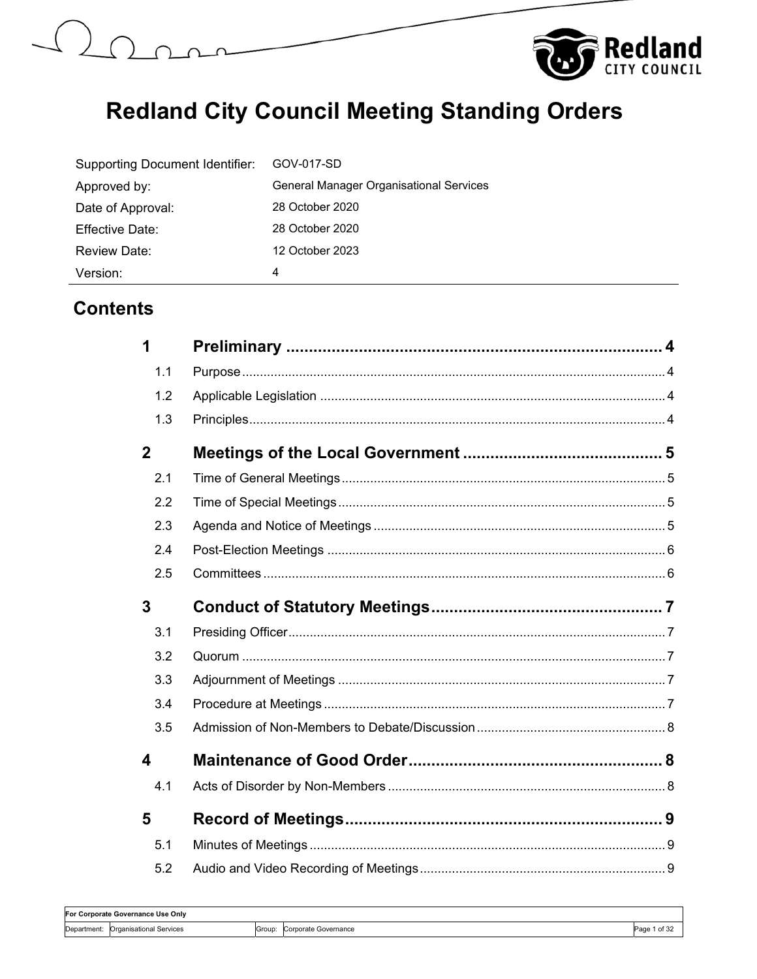<span id="page-2-0"></span>



| Supporting Document Identifier: | GOV-017-SD                                     |
|---------------------------------|------------------------------------------------|
| Approved by:                    | <b>General Manager Organisational Services</b> |
| Date of Approval:               | 28 October 2020                                |
| Effective Date:                 | 28 October 2020                                |
| Review Date:                    | 12 October 2023                                |
| Version:                        | 4                                              |

## **Contents**

| 1                |  |
|------------------|--|
| 1.1              |  |
| 1.2              |  |
| 1.3              |  |
| $\overline{2}$   |  |
| 2.1              |  |
| 2.2              |  |
| 2.3              |  |
| 2.4              |  |
| 2.5              |  |
| $\overline{3}$   |  |
| 3.1              |  |
|                  |  |
| 3.2              |  |
| 3.3              |  |
| 3.4              |  |
| 3.5              |  |
| $\boldsymbol{4}$ |  |
| 4.1              |  |
| 5                |  |
| 5.1              |  |

| IFor Corporate Governance Use Only |                         |       |                      |                   |
|------------------------------------|-------------------------|-------|----------------------|-------------------|
| Department:                        | Organisational Services | Group | Corporate Governance | 1 of $34$<br>Page |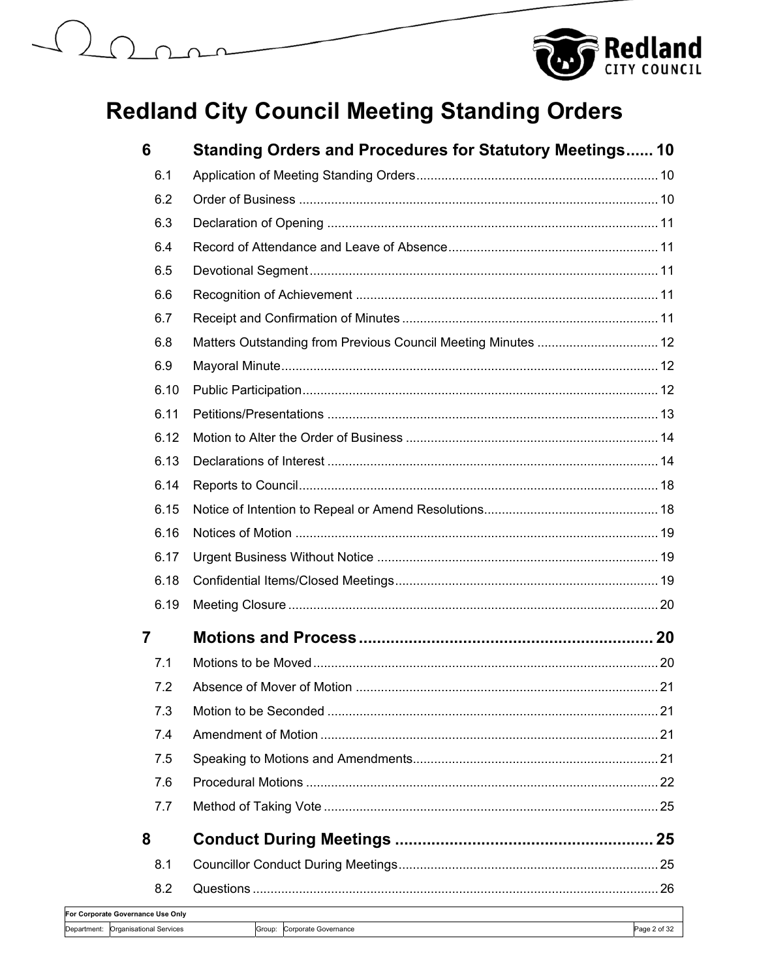# $( )$



|            | 6                                | <b>Standing Orders and Procedures for Statutory Meetings 10</b> |              |
|------------|----------------------------------|-----------------------------------------------------------------|--------------|
|            | 6.1                              |                                                                 |              |
|            | 6.2                              |                                                                 |              |
|            | 6.3                              |                                                                 |              |
|            | 6.4                              |                                                                 |              |
|            | 6.5                              |                                                                 |              |
|            | 6.6                              |                                                                 |              |
|            | 6.7                              |                                                                 |              |
|            | 6.8                              | Matters Outstanding from Previous Council Meeting Minutes  12   |              |
|            | 6.9                              |                                                                 |              |
|            | 6.10                             |                                                                 |              |
|            | 6.11                             |                                                                 |              |
|            | 6.12                             |                                                                 |              |
|            | 6.13                             |                                                                 |              |
|            | 6.14                             |                                                                 |              |
|            | 6.15                             |                                                                 |              |
|            | 6.16                             |                                                                 |              |
|            | 6.17                             |                                                                 |              |
|            | 6.18                             |                                                                 |              |
|            | 6.19                             |                                                                 |              |
|            | 7                                |                                                                 |              |
|            | 7.1                              |                                                                 |              |
|            | 7.2                              |                                                                 |              |
|            | 7.3                              |                                                                 |              |
|            | 7.4                              |                                                                 |              |
|            | 7.5                              |                                                                 |              |
|            | 7.6                              |                                                                 |              |
|            | 7.7                              |                                                                 |              |
|            | 8                                |                                                                 |              |
|            | 8.1                              |                                                                 |              |
|            | 8.2                              |                                                                 |              |
| epartment: | or Corporate Governance Use Only |                                                                 |              |
|            | <b>Organisational Services</b>   | Group: Corporate Governance                                     | Page 2 of 32 |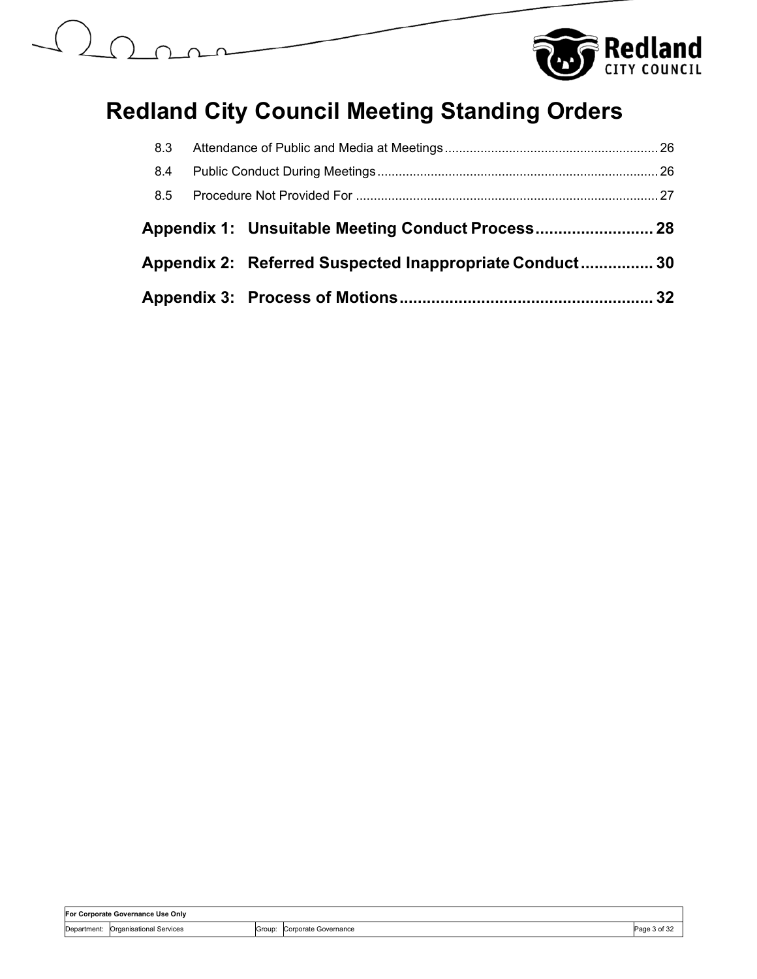



| 8.3 |                                                         |  |
|-----|---------------------------------------------------------|--|
| 8.4 |                                                         |  |
| 8.5 |                                                         |  |
|     |                                                         |  |
|     | Appendix 2: Referred Suspected Inappropriate Conduct 30 |  |
|     |                                                         |  |

| lFor Corporate Governance Use Onlv |                         |        |                      |              |
|------------------------------------|-------------------------|--------|----------------------|--------------|
| Department:                        | Organisational Services | Group: | Corporate Governance | Page 3 of 32 |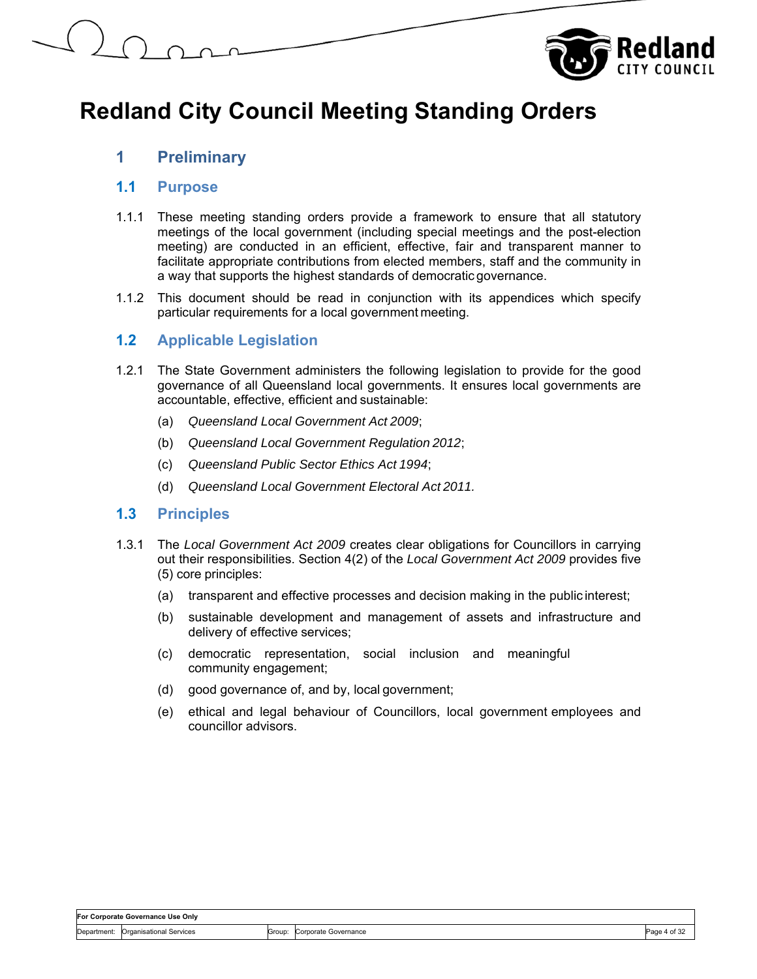

## **1 Preliminary**

### **1.1 Purpose**

- 1.1.1 These meeting standing orders provide a framework to ensure that all statutory meetings of the local government (including special meetings and the post-election meeting) are conducted in an efficient, effective, fair and transparent manner to facilitate appropriate contributions from elected members, staff and the community in a way that supports the highest standards of democratic governance.
- 1.1.2 This document should be read in conjunction with its appendices which specify particular requirements for a local government meeting.

## **1.2 Applicable Legislation**

- 1.2.1 The State Government administers the following legislation to provide for the good governance of all Queensland local governments. It ensures local governments are accountable, effective, efficient and sustainable:
	- (a) *Queensland Local Government Act 2009*;
	- (b) *Queensland Local Government Regulation 2012*;
	- (c) *Queensland Public Sector Ethics Act 1994*;
	- (d) *Queensland Local Government Electoral Act 2011.*

#### **1.3 Principles**

- 1.3.1 The *Local Government Act 2009* creates clear obligations for Councillors in carrying out their responsibilities. Section 4(2) of the *Local Government Act 2009* provides five (5) core principles:
	- (a) transparent and effective processes and decision making in the public interest;
	- (b) sustainable development and management of assets and infrastructure and delivery of effective services;
	- (c) democratic representation, social inclusion and meaningful community engagement;
	- (d) good governance of, and by, local government;
	- (e) ethical and legal behaviour of Councillors, local government employees and councillor advisors.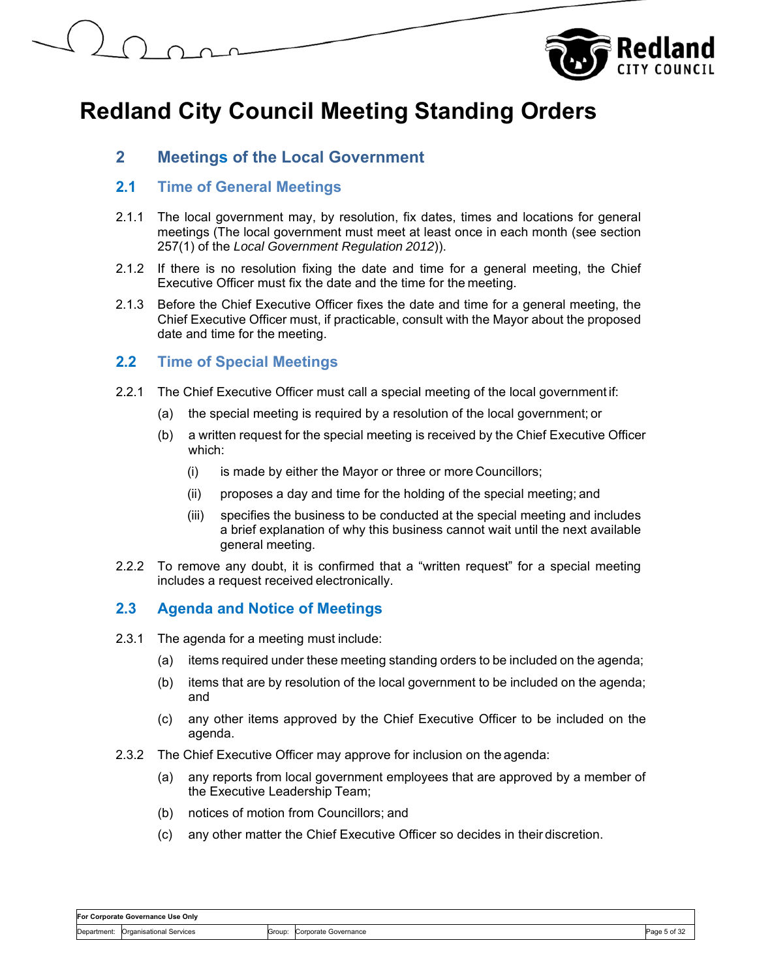

## **2 Meetings of the Local Government**

## **2.1 Time of General Meetings**

- 2.1.1 The local government may, by resolution, fix dates, times and locations for general meetings (The local government must meet at least once in each month (see section 257(1) of the *Local Government Regulation 2012*)).
- 2.1.2 If there is no resolution fixing the date and time for a general meeting, the Chief Executive Officer must fix the date and the time for the meeting.
- 2.1.3 Before the Chief Executive Officer fixes the date and time for a general meeting, the Chief Executive Officer must, if practicable, consult with the Mayor about the proposed date and time for the meeting.

## **2.2 Time of Special Meetings**

- 2.2.1 The Chief Executive Officer must call a special meeting of the local government if:
	- (a) the special meeting is required by a resolution of the local government; or
	- (b) a written request for the special meeting is received by the Chief Executive Officer which:
		- (i) is made by either the Mayor or three or more Councillors;
		- (ii) proposes a day and time for the holding of the special meeting; and
		- (iii) specifies the business to be conducted at the special meeting and includes a brief explanation of why this business cannot wait until the next available general meeting.
- 2.2.2 To remove any doubt, it is confirmed that a "written request" for a special meeting includes a request received electronically.

## **2.3 Agenda and Notice of Meetings**

- 2.3.1 The agenda for a meeting must include:
	- (a) items required under these meeting standing orders to be included on the agenda;
	- (b) items that are by resolution of the local government to be included on the agenda; and
	- (c) any other items approved by the Chief Executive Officer to be included on the agenda.
- 2.3.2 The Chief Executive Officer may approve for inclusion on the agenda:
	- (a) any reports from local government employees that are approved by a member of the Executive Leadership Team;
	- (b) notices of motion from Councillors; and
	- (c) any other matter the Chief Executive Officer so decides in their discretion.

| For Corporate Governance Use Only |                                     |  |  |
|-----------------------------------|-------------------------------------|--|--|
|                                   | Department: Organisational Services |  |  |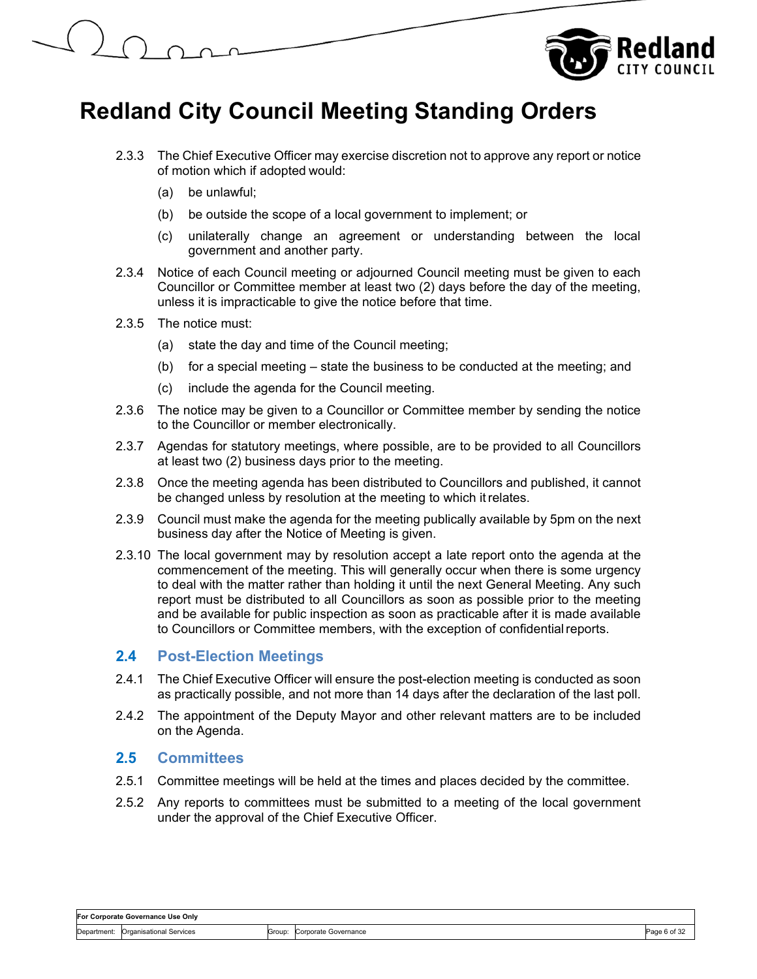



- 2.3.3 The Chief Executive Officer may exercise discretion not to approve any report or notice of motion which if adopted would:
	- (a) be unlawful;
	- (b) be outside the scope of a local government to implement; or
	- (c) unilaterally change an agreement or understanding between the local government and another party.
- 2.3.4 Notice of each Council meeting or adjourned Council meeting must be given to each Councillor or Committee member at least two (2) days before the day of the meeting, unless it is impracticable to give the notice before that time.
- 2.3.5 The notice must:
	- (a) state the day and time of the Council meeting;
	- (b) for a special meeting state the business to be conducted at the meeting; and
	- (c) include the agenda for the Council meeting.
- 2.3.6 The notice may be given to a Councillor or Committee member by sending the notice to the Councillor or member electronically.
- 2.3.7 Agendas for statutory meetings, where possible, are to be provided to all Councillors at least two (2) business days prior to the meeting.
- 2.3.8 Once the meeting agenda has been distributed to Councillors and published, it cannot be changed unless by resolution at the meeting to which it relates.
- 2.3.9 Council must make the agenda for the meeting publically available by 5pm on the next business day after the Notice of Meeting is given.
- 2.3.10 The local government may by resolution accept a late report onto the agenda at the commencement of the meeting. This will generally occur when there is some urgency to deal with the matter rather than holding it until the next General Meeting. Any such report must be distributed to all Councillors as soon as possible prior to the meeting and be available for public inspection as soon as practicable after it is made available to Councillors or Committee members, with the exception of confidential reports.

#### **2.4 Post-Election Meetings**

- 2.4.1 The Chief Executive Officer will ensure the post-election meeting is conducted as soon as practically possible, and not more than 14 days after the declaration of the last poll.
- 2.4.2 The appointment of the Deputy Mayor and other relevant matters are to be included on the Agenda.

#### **2.5 Committees**

- 2.5.1 Committee meetings will be held at the times and places decided by the committee.
- 2.5.2 Any reports to committees must be submitted to a meeting of the local government under the approval of the Chief Executive Officer.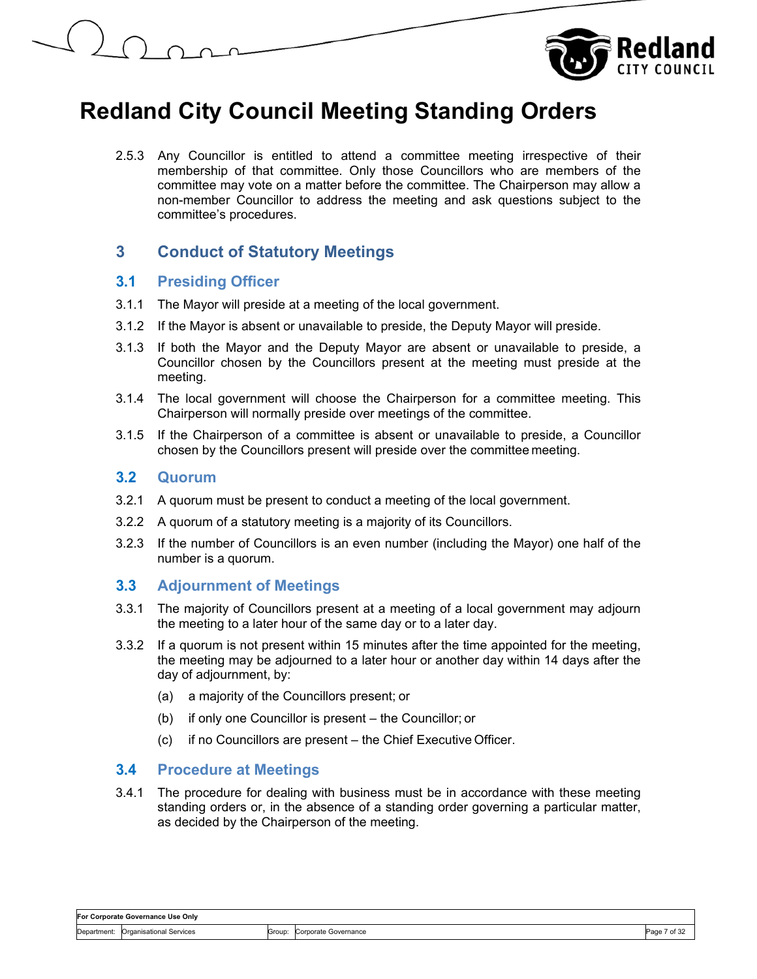



2.5.3 Any Councillor is entitled to attend a committee meeting irrespective of their membership of that committee. Only those Councillors who are members of the committee may vote on a matter before the committee. The Chairperson may allow a non-member Councillor to address the meeting and ask questions subject to the committee's procedures.

## **3 Conduct of Statutory Meetings**

### **3.1 Presiding Officer**

- 3.1.1 The Mayor will preside at a meeting of the local government.
- 3.1.2 If the Mayor is absent or unavailable to preside, the Deputy Mayor will preside.
- 3.1.3 If both the Mayor and the Deputy Mayor are absent or unavailable to preside, a Councillor chosen by the Councillors present at the meeting must preside at the meeting.
- 3.1.4 The local government will choose the Chairperson for a committee meeting. This Chairperson will normally preside over meetings of the committee.
- 3.1.5 If the Chairperson of a committee is absent or unavailable to preside, a Councillor chosen by the Councillors present will preside over the committee meeting.

### **3.2 Quorum**

- 3.2.1 A quorum must be present to conduct a meeting of the local government.
- 3.2.2 A quorum of a statutory meeting is a majority of its Councillors.
- 3.2.3 If the number of Councillors is an even number (including the Mayor) one half of the number is a quorum.

## **3.3 Adjournment of Meetings**

- 3.3.1 The majority of Councillors present at a meeting of a local government may adjourn the meeting to a later hour of the same day or to a later day.
- 3.3.2 If a quorum is not present within 15 minutes after the time appointed for the meeting, the meeting may be adjourned to a later hour or another day within 14 days after the day of adjournment, by:
	- (a) a majority of the Councillors present; or
	- (b) if only one Councillor is present the Councillor; or
	- (c) if no Councillors are present the Chief Executive Officer.

#### **3.4 Procedure at Meetings**

3.4.1 The procedure for dealing with business must be in accordance with these meeting standing orders or, in the absence of a standing order governing a particular matter, as decided by the Chairperson of the meeting.

## **For Corporate Governance Use Only**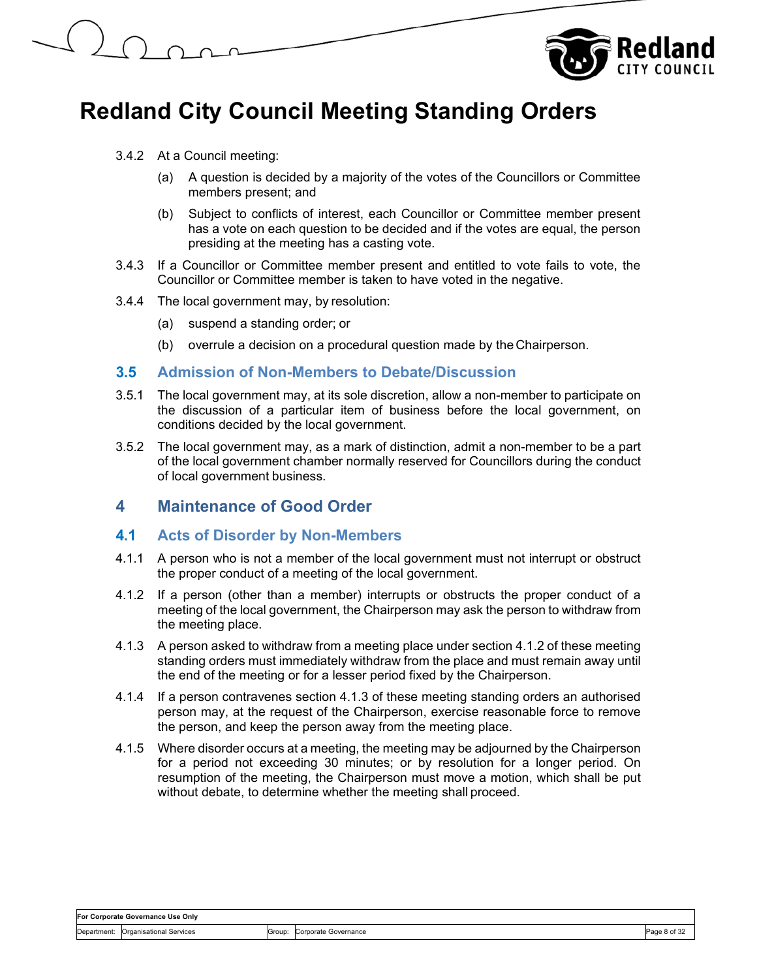



- 3.4.2 At a Council meeting:
	- (a) A question is decided by a majority of the votes of the Councillors or Committee members present; and
	- (b) Subject to conflicts of interest, each Councillor or Committee member present has a vote on each question to be decided and if the votes are equal, the person presiding at the meeting has a casting vote.
- 3.4.3 If a Councillor or Committee member present and entitled to vote fails to vote, the Councillor or Committee member is taken to have voted in the negative.
- 3.4.4 The local government may, by resolution:
	- (a) suspend a standing order; or
	- (b) overrule a decision on a procedural question made by the Chairperson.

#### **3.5 Admission of Non-Members to Debate/Discussion**

- 3.5.1 The local government may, at its sole discretion, allow a non-member to participate on the discussion of a particular item of business before the local government, on conditions decided by the local government.
- 3.5.2 The local government may, as a mark of distinction, admit a non-member to be a part of the local government chamber normally reserved for Councillors during the conduct of local government business.

## **4 Maintenance of Good Order**

#### **4.1 Acts of Disorder by Non-Members**

- 4.1.1 A person who is not a member of the local government must not interrupt or obstruct the proper conduct of a meeting of the local government.
- 4.1.2 If a person (other than a member) interrupts or obstructs the proper conduct of a meeting of the local government, the Chairperson may ask the person to withdraw from the meeting place.
- 4.1.3 A person asked to withdraw from a meeting place under section 4.1.2 of these meeting standing orders must immediately withdraw from the place and must remain away until the end of the meeting or for a lesser period fixed by the Chairperson.
- 4.1.4 If a person contravenes section 4.1.3 of these meeting standing orders an authorised person may, at the request of the Chairperson, exercise reasonable force to remove the person, and keep the person away from the meeting place.
- 4.1.5 Where disorder occurs at a meeting, the meeting may be adjourned by the Chairperson for a period not exceeding 30 minutes; or by resolution for a longer period. On resumption of the meeting, the Chairperson must move a motion, which shall be put without debate, to determine whether the meeting shall proceed.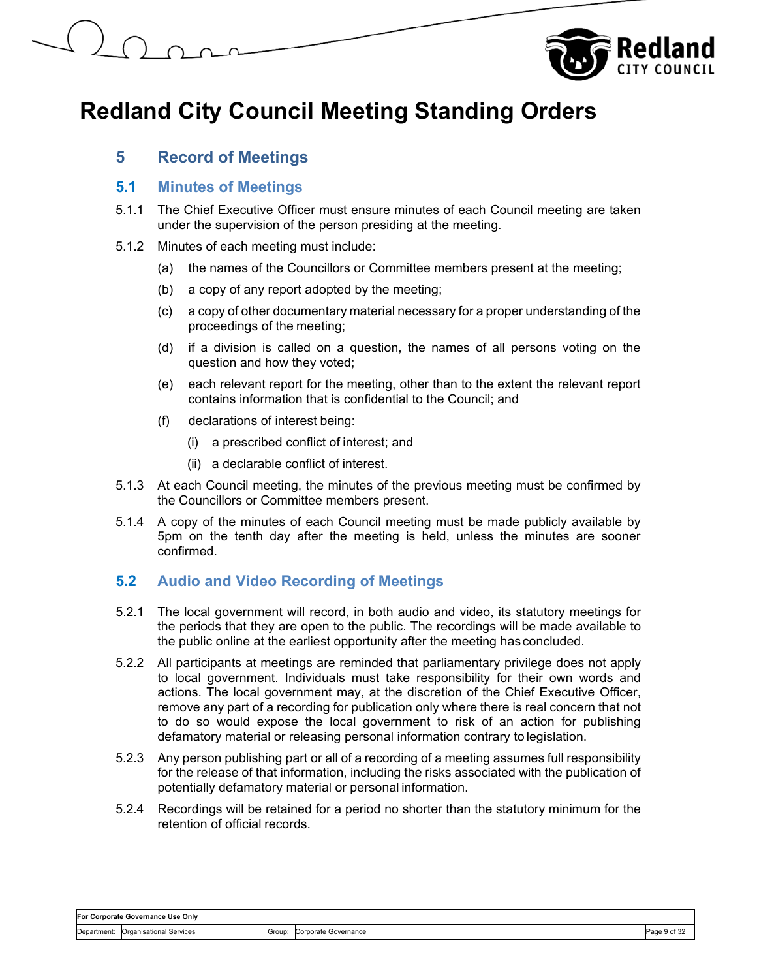

## **5 Record of Meetings**

### **5.1 Minutes of Meetings**

- 5.1.1 The Chief Executive Officer must ensure minutes of each Council meeting are taken under the supervision of the person presiding at the meeting.
- 5.1.2 Minutes of each meeting must include:
	- (a) the names of the Councillors or Committee members present at the meeting;
	- (b) a copy of any report adopted by the meeting;
	- (c) a copy of other documentary material necessary for a proper understanding of the proceedings of the meeting;
	- (d) if a division is called on a question, the names of all persons voting on the question and how they voted;
	- (e) each relevant report for the meeting, other than to the extent the relevant report contains information that is confidential to the Council; and
	- (f) declarations of interest being:
		- (i) a prescribed conflict of interest; and
		- (ii) a declarable conflict of interest.
- 5.1.3 At each Council meeting, the minutes of the previous meeting must be confirmed by the Councillors or Committee members present.
- 5.1.4 A copy of the minutes of each Council meeting must be made publicly available by 5pm on the tenth day after the meeting is held, unless the minutes are sooner confirmed.

## **5.2 Audio and Video Recording of Meetings**

- 5.2.1 The local government will record, in both audio and video, its statutory meetings for the periods that they are open to the public. The recordings will be made available to the public online at the earliest opportunity after the meeting has concluded.
- 5.2.2 All participants at meetings are reminded that parliamentary privilege does not apply to local government. Individuals must take responsibility for their own words and actions. The local government may, at the discretion of the Chief Executive Officer, remove any part of a recording for publication only where there is real concern that not to do so would expose the local government to risk of an action for publishing defamatory material or releasing personal information contrary to legislation.
- 5.2.3 Any person publishing part or all of a recording of a meeting assumes full responsibility for the release of that information, including the risks associated with the publication of potentially defamatory material or personal information.
- 5.2.4 Recordings will be retained for a period no shorter than the statutory minimum for the retention of official records.

## **For Corporate Governance Use Only**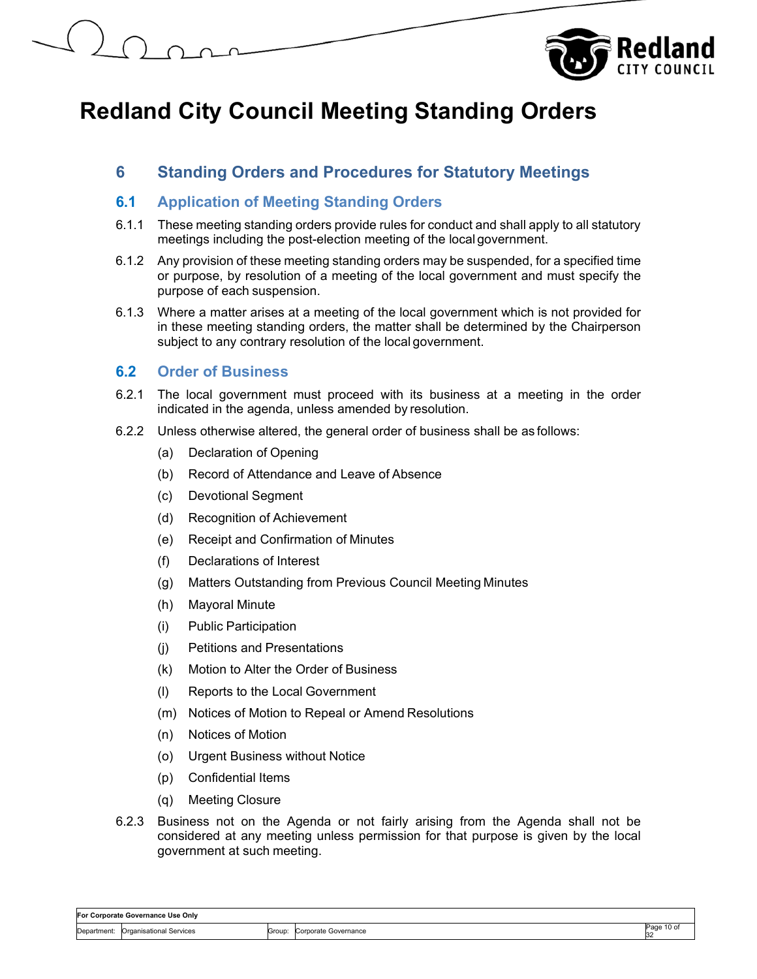

## **6 Standing Orders and Procedures for Statutory Meetings**

### **6.1 Application of Meeting Standing Orders**

- 6.1.1 These meeting standing orders provide rules for conduct and shall apply to all statutory meetings including the post-election meeting of the local government.
- 6.1.2 Any provision of these meeting standing orders may be suspended, for a specified time or purpose, by resolution of a meeting of the local government and must specify the purpose of each suspension.
- 6.1.3 Where a matter arises at a meeting of the local government which is not provided for in these meeting standing orders, the matter shall be determined by the Chairperson subject to any contrary resolution of the local government.

## **6.2 Order of Business**

- 6.2.1 The local government must proceed with its business at a meeting in the order indicated in the agenda, unless amended by resolution.
- 6.2.2 Unless otherwise altered, the general order of business shall be as follows:
	- (a) Declaration of Opening
	- (b) Record of Attendance and Leave of Absence
	- (c) Devotional Segment
	- (d) Recognition of Achievement
	- (e) Receipt and Confirmation of Minutes
	- (f) Declarations of Interest
	- (g) Matters Outstanding from Previous Council Meeting Minutes
	- (h) Mayoral Minute
	- (i) Public Participation
	- (j) Petitions and Presentations
	- (k) Motion to Alter the Order of Business
	- (l) Reports to the Local Government
	- (m) Notices of Motion to Repeal or Amend Resolutions
	- (n) Notices of Motion
	- (o) Urgent Business without Notice
	- (p) Confidential Items
	- (q) Meeting Closure
- 6.2.3 Business not on the Agenda or not fairly arising from the Agenda shall not be considered at any meeting unless permission for that purpose is given by the local government at such meeting.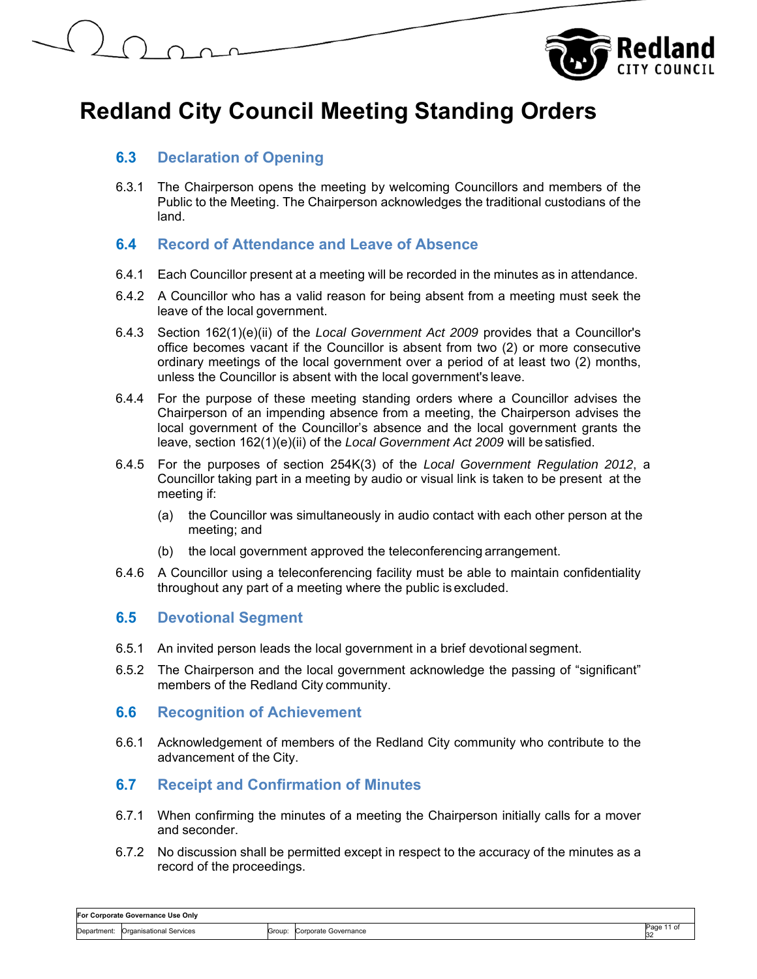



## **6.3 Declaration of Opening**

6.3.1 The Chairperson opens the meeting by welcoming Councillors and members of the Public to the Meeting. The Chairperson acknowledges the traditional custodians of the land.

## **6.4 Record of Attendance and Leave of Absence**

- 6.4.1 Each Councillor present at a meeting will be recorded in the minutes as in attendance.
- 6.4.2 A Councillor who has a valid reason for being absent from a meeting must seek the leave of the local government.
- 6.4.3 Section 162(1)(e)(ii) of the *Local Government Act 2009* provides that a Councillor's office becomes vacant if the Councillor is absent from two (2) or more consecutive ordinary meetings of the local government over a period of at least two (2) months, unless the Councillor is absent with the local government's leave.
- 6.4.4 For the purpose of these meeting standing orders where a Councillor advises the Chairperson of an impending absence from a meeting, the Chairperson advises the local government of the Councillor's absence and the local government grants the leave, section 162(1)(e)(ii) of the *Local Government Act 2009* will be satisfied.
- 6.4.5 For the purposes of section 254K(3) of the *Local Government Regulation 2012*, a Councillor taking part in a meeting by audio or visual link is taken to be present at the meeting if:
	- (a) the Councillor was simultaneously in audio contact with each other person at the meeting; and
	- (b) the local government approved the teleconferencing arrangement.
- 6.4.6 A Councillor using a teleconferencing facility must be able to maintain confidentiality throughout any part of a meeting where the public is excluded.

#### **6.5 Devotional Segment**

- 6.5.1 An invited person leads the local government in a brief devotional segment.
- 6.5.2 The Chairperson and the local government acknowledge the passing of "significant" members of the Redland City community.

#### **6.6 Recognition of Achievement**

6.6.1 Acknowledgement of members of the Redland City community who contribute to the advancement of the City.

## **6.7 Receipt and Confirmation of Minutes**

- 6.7.1 When confirming the minutes of a meeting the Chairperson initially calls for a mover and seconder.
- 6.7.2 No discussion shall be permitted except in respect to the accuracy of the minutes as a record of the proceedings.

**For Corporate Governance Use Only**  Department: Organisational Services Group: Corporate Governance Page 11 of 32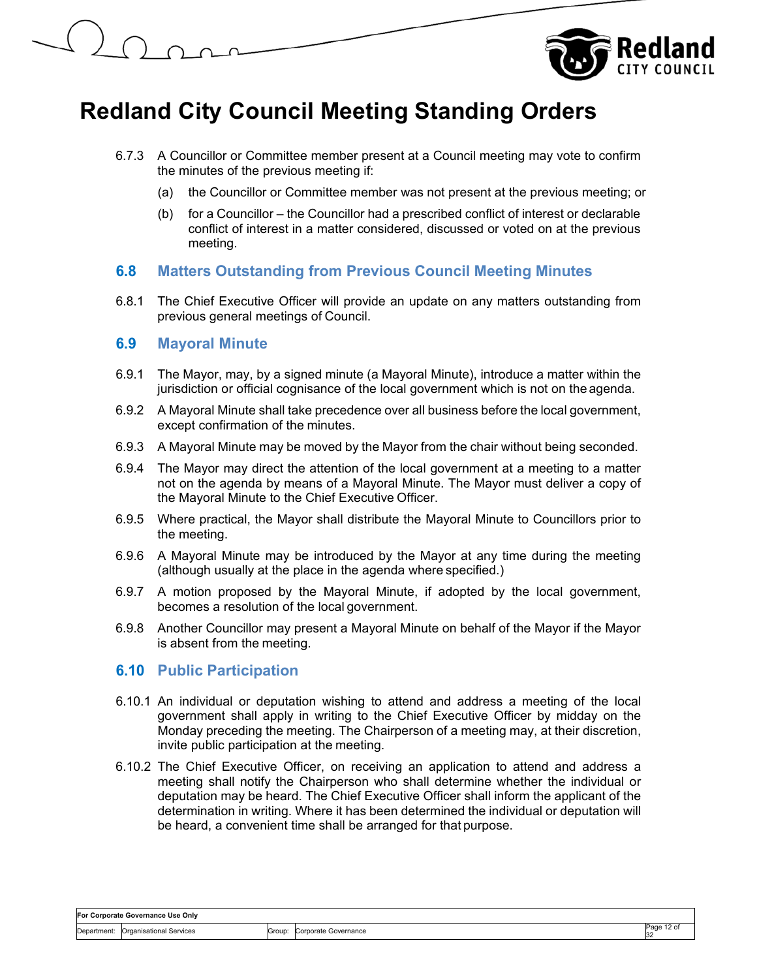

- 6.7.3 A Councillor or Committee member present at a Council meeting may vote to confirm the minutes of the previous meeting if:
	- (a) the Councillor or Committee member was not present at the previous meeting; or
	- (b) for a Councillor the Councillor had a prescribed conflict of interest or declarable conflict of interest in a matter considered, discussed or voted on at the previous meeting.

### **6.8 Matters Outstanding from Previous Council Meeting Minutes**

6.8.1 The Chief Executive Officer will provide an update on any matters outstanding from previous general meetings of Council.

#### **6.9 Mayoral Minute**

- 6.9.1 The Mayor, may, by a signed minute (a Mayoral Minute), introduce a matter within the jurisdiction or official cognisance of the local government which is not on the agenda.
- 6.9.2 A Mayoral Minute shall take precedence over all business before the local government, except confirmation of the minutes.
- 6.9.3 A Mayoral Minute may be moved by the Mayor from the chair without being seconded.
- 6.9.4 The Mayor may direct the attention of the local government at a meeting to a matter not on the agenda by means of a Mayoral Minute. The Mayor must deliver a copy of the Mayoral Minute to the Chief Executive Officer.
- 6.9.5 Where practical, the Mayor shall distribute the Mayoral Minute to Councillors prior to the meeting.
- 6.9.6 A Mayoral Minute may be introduced by the Mayor at any time during the meeting (although usually at the place in the agenda where specified.)
- 6.9.7 A motion proposed by the Mayoral Minute, if adopted by the local government, becomes a resolution of the local government.
- 6.9.8 Another Councillor may present a Mayoral Minute on behalf of the Mayor if the Mayor is absent from the meeting.

#### **6.10 Public Participation**

- 6.10.1 An individual or deputation wishing to attend and address a meeting of the local government shall apply in writing to the Chief Executive Officer by midday on the Monday preceding the meeting. The Chairperson of a meeting may, at their discretion, invite public participation at the meeting.
- 6.10.2 The Chief Executive Officer, on receiving an application to attend and address a meeting shall notify the Chairperson who shall determine whether the individual or deputation may be heard. The Chief Executive Officer shall inform the applicant of the determination in writing. Where it has been determined the individual or deputation will be heard, a convenient time shall be arranged for that purpose.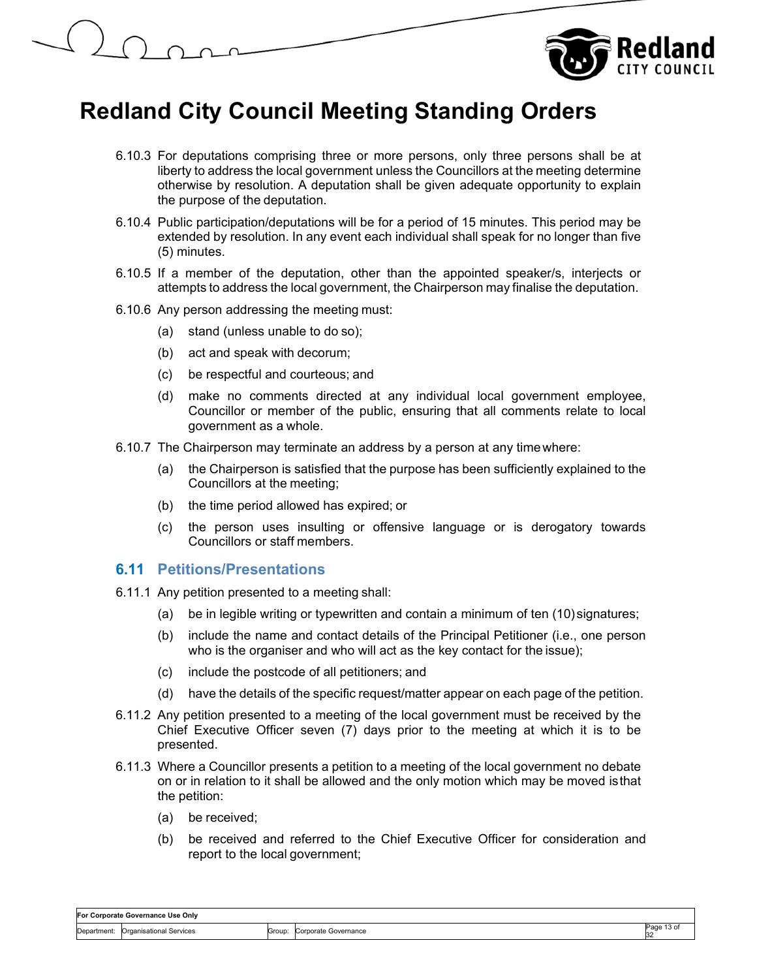

- 6.10.3 For deputations comprising three or more persons, only three persons shall be at liberty to address the local government unless the Councillors at the meeting determine otherwise by resolution. A deputation shall be given adequate opportunity to explain the purpose of the deputation.
- 6.10.4 Public participation/deputations will be for a period of 15 minutes. This period may be extended by resolution. In any event each individual shall speak for no longer than five (5) minutes.
- 6.10.5 If a member of the deputation, other than the appointed speaker/s, interjects or attempts to address the local government, the Chairperson may finalise the deputation.
- 6.10.6 Any person addressing the meeting must:
	- (a) stand (unless unable to do so);
	- (b) act and speak with decorum;
	- (c) be respectful and courteous; and
	- (d) make no comments directed at any individual local government employee, Councillor or member of the public, ensuring that all comments relate to local government as a whole.
- 6.10.7 The Chairperson may terminate an address by a person at any time where:
	- (a) the Chairperson is satisfied that the purpose has been sufficiently explained to the Councillors at the meeting;
	- (b) the time period allowed has expired; or
	- (c) the person uses insulting or offensive language or is derogatory towards Councillors or staff members.

#### **6.11 Petitions/Presentations**

- 6.11.1 Any petition presented to a meeting shall:
	- (a) be in legible writing or typewritten and contain a minimum of ten (10) signatures;
	- (b) include the name and contact details of the Principal Petitioner (i.e., one person who is the organiser and who will act as the key contact for the issue);
	- (c) include the postcode of all petitioners; and
	- (d) have the details of the specific request/matter appear on each page of the petition.
- 6.11.2 Any petition presented to a meeting of the local government must be received by the Chief Executive Officer seven (7) days prior to the meeting at which it is to be presented.
- 6.11.3 Where a Councillor presents a petition to a meeting of the local government no debate on or in relation to it shall be allowed and the only motion which may be moved is that the petition:
	- (a) be received;
	- (b) be received and referred to the Chief Executive Officer for consideration and report to the local government;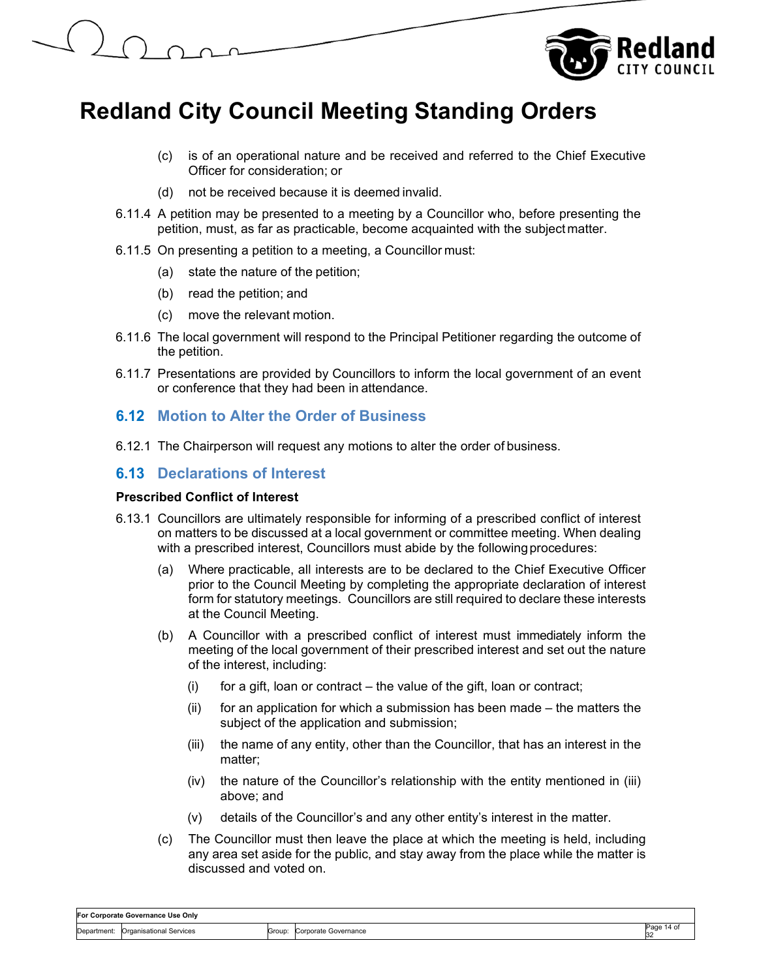

- (c) is of an operational nature and be received and referred to the Chief Executive Officer for consideration; or
- (d) not be received because it is deemed invalid.
- 6.11.4 A petition may be presented to a meeting by a Councillor who, before presenting the petition, must, as far as practicable, become acquainted with the subject matter.
- 6.11.5 On presenting a petition to a meeting, a Councillor must:
	- (a) state the nature of the petition;
	- (b) read the petition; and
	- (c) move the relevant motion.
- 6.11.6 The local government will respond to the Principal Petitioner regarding the outcome of the petition.
- 6.11.7 Presentations are provided by Councillors to inform the local government of an event or conference that they had been in attendance.

### **6.12 Motion to Alter the Order of Business**

6.12.1 The Chairperson will request any motions to alter the order of business.

### **6.13 Declarations of Interest**

#### **Prescribed Conflict of Interest**

- 6.13.1 Councillors are ultimately responsible for informing of a prescribed conflict of interest on matters to be discussed at a local government or committee meeting. When dealing with a prescribed interest, Councillors must abide by the following procedures:
	- (a) Where practicable, all interests are to be declared to the Chief Executive Officer prior to the Council Meeting by completing the appropriate declaration of interest form for statutory meetings. Councillors are still required to declare these interests at the Council Meeting.
	- (b) A Councillor with a prescribed conflict of interest must immediately inform the meeting of the local government of their prescribed interest and set out the nature of the interest, including:
		- $(i)$  for a gift, loan or contract the value of the gift, loan or contract;
		- (ii) for an application for which a submission has been made the matters the subject of the application and submission;
		- (iii) the name of any entity, other than the Councillor, that has an interest in the matter;
		- (iv) the nature of the Councillor's relationship with the entity mentioned in (iii) above; and
		- (v) details of the Councillor's and any other entity's interest in the matter.
	- (c) The Councillor must then leave the place at which the meeting is held, including any area set aside for the public, and stay away from the place while the matter is discussed and voted on.

| For Corporate Governance Use Only |                         |        |                      |            |
|-----------------------------------|-------------------------|--------|----------------------|------------|
| Department:                       | Organisational Services | Group: | Corporate Governance | Page 14 of |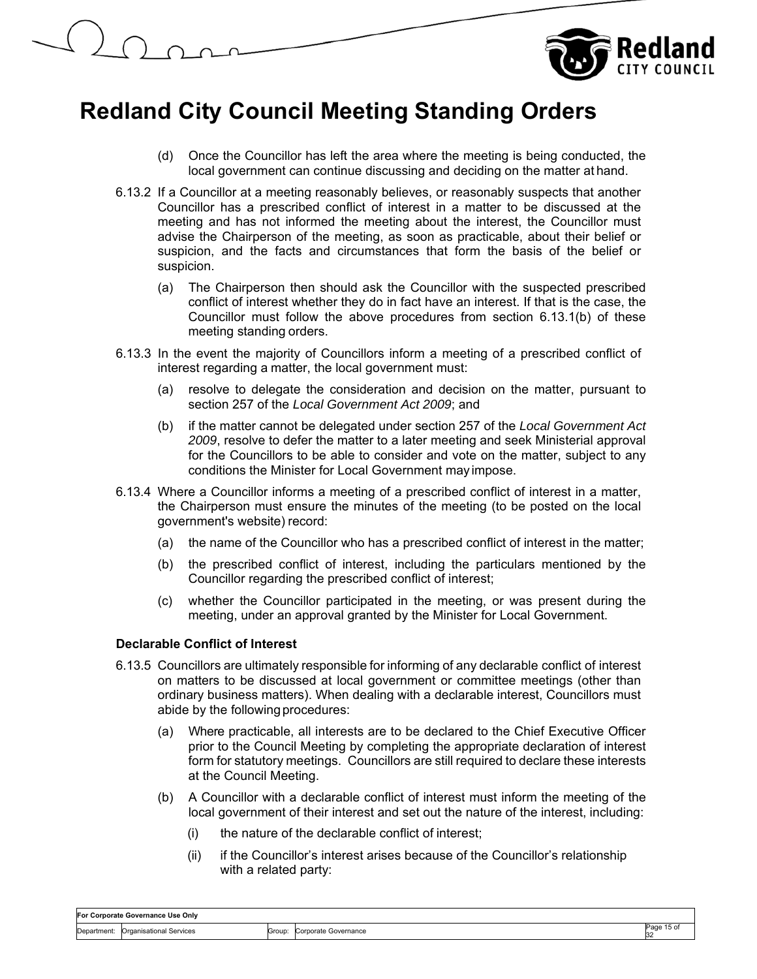

- (d) Once the Councillor has left the area where the meeting is being conducted, the local government can continue discussing and deciding on the matter at hand.
- 6.13.2 If a Councillor at a meeting reasonably believes, or reasonably suspects that another Councillor has a prescribed conflict of interest in a matter to be discussed at the meeting and has not informed the meeting about the interest, the Councillor must advise the Chairperson of the meeting, as soon as practicable, about their belief or suspicion, and the facts and circumstances that form the basis of the belief or suspicion.
	- (a) The Chairperson then should ask the Councillor with the suspected prescribed conflict of interest whether they do in fact have an interest. If that is the case, the Councillor must follow the above procedures from section 6.13.1(b) of these meeting standing orders.
- 6.13.3 In the event the majority of Councillors inform a meeting of a prescribed conflict of interest regarding a matter, the local government must:
	- (a) resolve to delegate the consideration and decision on the matter, pursuant to section 257 of the *Local Government Act 2009*; and
	- (b) if the matter cannot be delegated under section 257 of the *Local Government Act 2009*, resolve to defer the matter to a later meeting and seek Ministerial approval for the Councillors to be able to consider and vote on the matter, subject to any conditions the Minister for Local Government may impose.
- 6.13.4 Where a Councillor informs a meeting of a prescribed conflict of interest in a matter, the Chairperson must ensure the minutes of the meeting (to be posted on the local government's website) record:
	- (a) the name of the Councillor who has a prescribed conflict of interest in the matter;
	- (b) the prescribed conflict of interest, including the particulars mentioned by the Councillor regarding the prescribed conflict of interest;
	- (c) whether the Councillor participated in the meeting, or was present during the meeting, under an approval granted by the Minister for Local Government.

#### **Declarable Conflict of Interest**

- 6.13.5 Councillors are ultimately responsible for informing of any declarable conflict of interest on matters to be discussed at local government or committee meetings (other than ordinary business matters). When dealing with a declarable interest, Councillors must abide by the following procedures:
	- (a) Where practicable, all interests are to be declared to the Chief Executive Officer prior to the Council Meeting by completing the appropriate declaration of interest form for statutory meetings. Councillors are still required to declare these interests at the Council Meeting.
	- (b) A Councillor with a declarable conflict of interest must inform the meeting of the local government of their interest and set out the nature of the interest, including:
		- (i) the nature of the declarable conflict of interest;
		- (ii) if the Councillor's interest arises because of the Councillor's relationship with a related party:

| For Corporate Governance Use Only |                         |        |                      |           |  |
|-----------------------------------|-------------------------|--------|----------------------|-----------|--|
| Department:                       | Organisational Services | Group: | Corporate Governance | 15 O<br>w |  |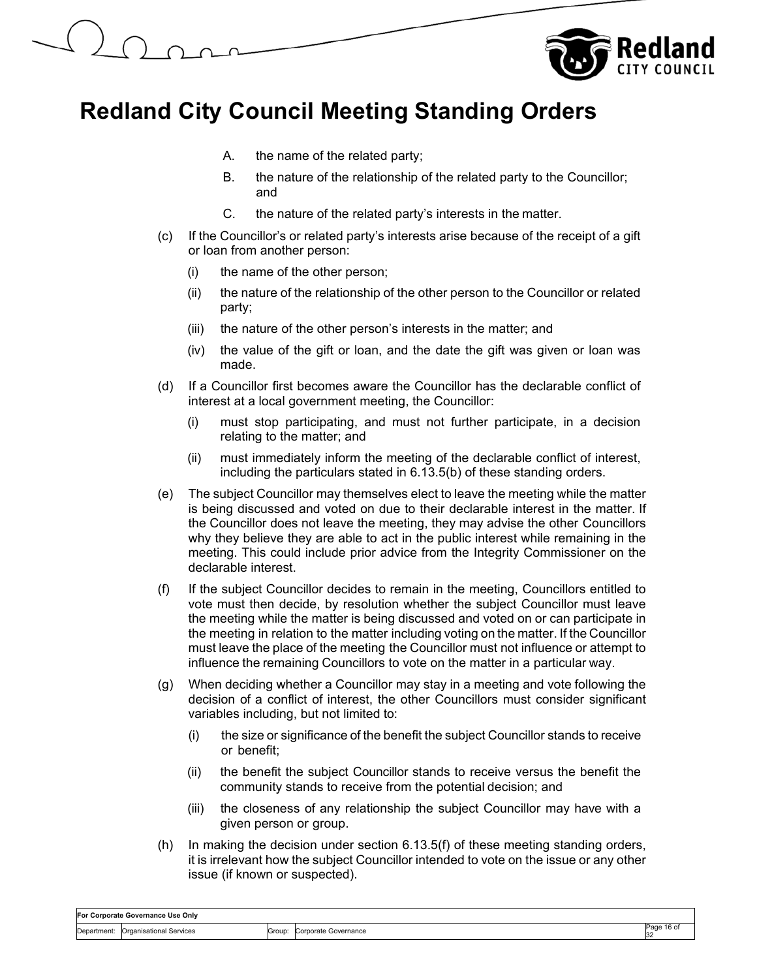

- A. the name of the related party;
- B. the nature of the relationship of the related party to the Councillor; and
- C. the nature of the related party's interests in the matter.
- (c) If the Councillor's or related party's interests arise because of the receipt of a gift or loan from another person:
	- (i) the name of the other person;
	- (ii) the nature of the relationship of the other person to the Councillor or related party;
	- (iii) the nature of the other person's interests in the matter; and
	- (iv) the value of the gift or loan, and the date the gift was given or loan was made.
- (d) If a Councillor first becomes aware the Councillor has the declarable conflict of interest at a local government meeting, the Councillor:
	- (i) must stop participating, and must not further participate, in a decision relating to the matter; and
	- (ii) must immediately inform the meeting of the declarable conflict of interest, including the particulars stated in 6.13.5(b) of these standing orders.
- (e) The subject Councillor may themselves elect to leave the meeting while the matter is being discussed and voted on due to their declarable interest in the matter. If the Councillor does not leave the meeting, they may advise the other Councillors why they believe they are able to act in the public interest while remaining in the meeting. This could include prior advice from the Integrity Commissioner on the declarable interest.
- (f) If the subject Councillor decides to remain in the meeting, Councillors entitled to vote must then decide, by resolution whether the subject Councillor must leave the meeting while the matter is being discussed and voted on or can participate in the meeting in relation to the matter including voting on the matter. If the Councillor must leave the place of the meeting the Councillor must not influence or attempt to influence the remaining Councillors to vote on the matter in a particular way.
- (g) When deciding whether a Councillor may stay in a meeting and vote following the decision of a conflict of interest, the other Councillors must consider significant variables including, but not limited to:
	- (i) the size or significance of the benefit the subject Councillor stands to receive or benefit;
	- (ii) the benefit the subject Councillor stands to receive versus the benefit the community stands to receive from the potential decision; and
	- (iii) the closeness of any relationship the subject Councillor may have with a given person or group.
- (h) In making the decision under section 6.13.5(f) of these meeting standing orders, it is irrelevant how the subject Councillor intended to vote on the issue or any other issue (if known or suspected).

| For Corporate Governance Use Only |                         |        |                      |                     |  |
|-----------------------------------|-------------------------|--------|----------------------|---------------------|--|
| Department.                       | Organisational Services | Group: | Corporate Governance | 16 of<br>-aue<br>32 |  |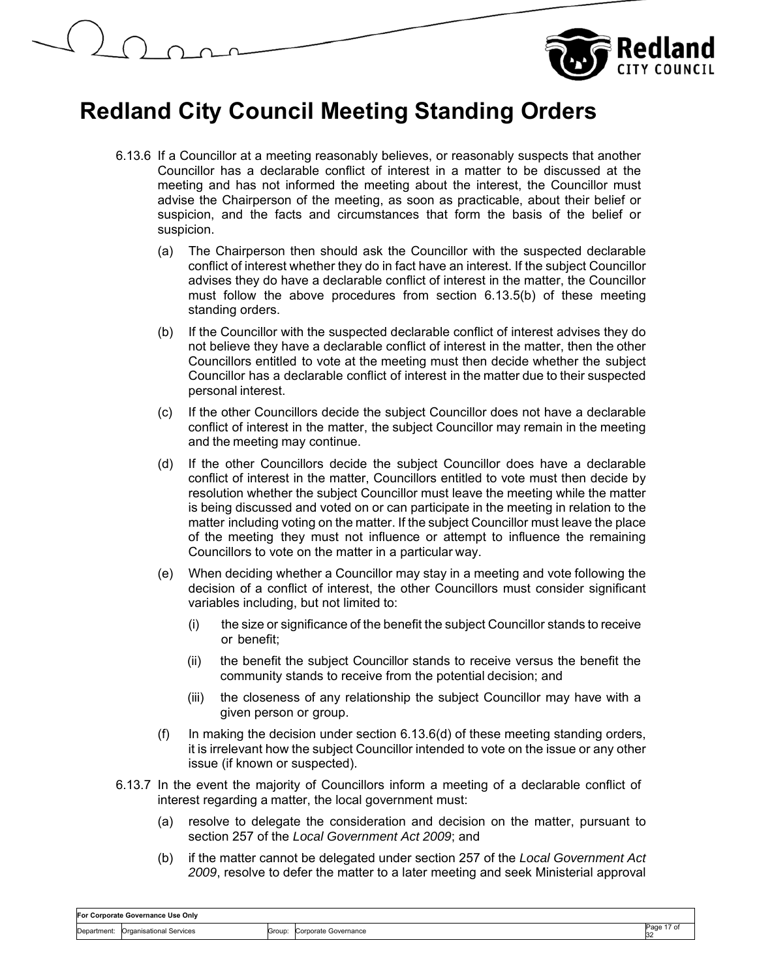



- 6.13.6 If a Councillor at a meeting reasonably believes, or reasonably suspects that another Councillor has a declarable conflict of interest in a matter to be discussed at the meeting and has not informed the meeting about the interest, the Councillor must advise the Chairperson of the meeting, as soon as practicable, about their belief or suspicion, and the facts and circumstances that form the basis of the belief or suspicion.
	- (a) The Chairperson then should ask the Councillor with the suspected declarable conflict of interest whether they do in fact have an interest. If the subject Councillor advises they do have a declarable conflict of interest in the matter, the Councillor must follow the above procedures from section 6.13.5(b) of these meeting standing orders.
	- (b) If the Councillor with the suspected declarable conflict of interest advises they do not believe they have a declarable conflict of interest in the matter, then the other Councillors entitled to vote at the meeting must then decide whether the subject Councillor has a declarable conflict of interest in the matter due to their suspected personal interest.
	- (c) If the other Councillors decide the subject Councillor does not have a declarable conflict of interest in the matter, the subject Councillor may remain in the meeting and the meeting may continue.
	- (d) If the other Councillors decide the subject Councillor does have a declarable conflict of interest in the matter, Councillors entitled to vote must then decide by resolution whether the subject Councillor must leave the meeting while the matter is being discussed and voted on or can participate in the meeting in relation to the matter including voting on the matter. If the subject Councillor must leave the place of the meeting they must not influence or attempt to influence the remaining Councillors to vote on the matter in a particular way.
	- (e) When deciding whether a Councillor may stay in a meeting and vote following the decision of a conflict of interest, the other Councillors must consider significant variables including, but not limited to:
		- (i) the size or significance of the benefit the subject Councillor stands to receive or benefit;
		- (ii) the benefit the subject Councillor stands to receive versus the benefit the community stands to receive from the potential decision; and
		- (iii) the closeness of any relationship the subject Councillor may have with a given person or group.
	- (f) In making the decision under section 6.13.6(d) of these meeting standing orders, it is irrelevant how the subject Councillor intended to vote on the issue or any other issue (if known or suspected).
- 6.13.7 In the event the majority of Councillors inform a meeting of a declarable conflict of interest regarding a matter, the local government must:
	- (a) resolve to delegate the consideration and decision on the matter, pursuant to section 257 of the *Local Government Act 2009*; and
	- (b) if the matter cannot be delegated under section 257 of the *Local Government Act 2009*, resolve to defer the matter to a later meeting and seek Ministerial approval

| For Corporate Governance Use Onlv |                                |        |                      |                   |  |
|-----------------------------------|--------------------------------|--------|----------------------|-------------------|--|
| :Department                       | <b>Organisational Services</b> | Group: | Corporate Governance | ⊃age<br>7 U<br>ю. |  |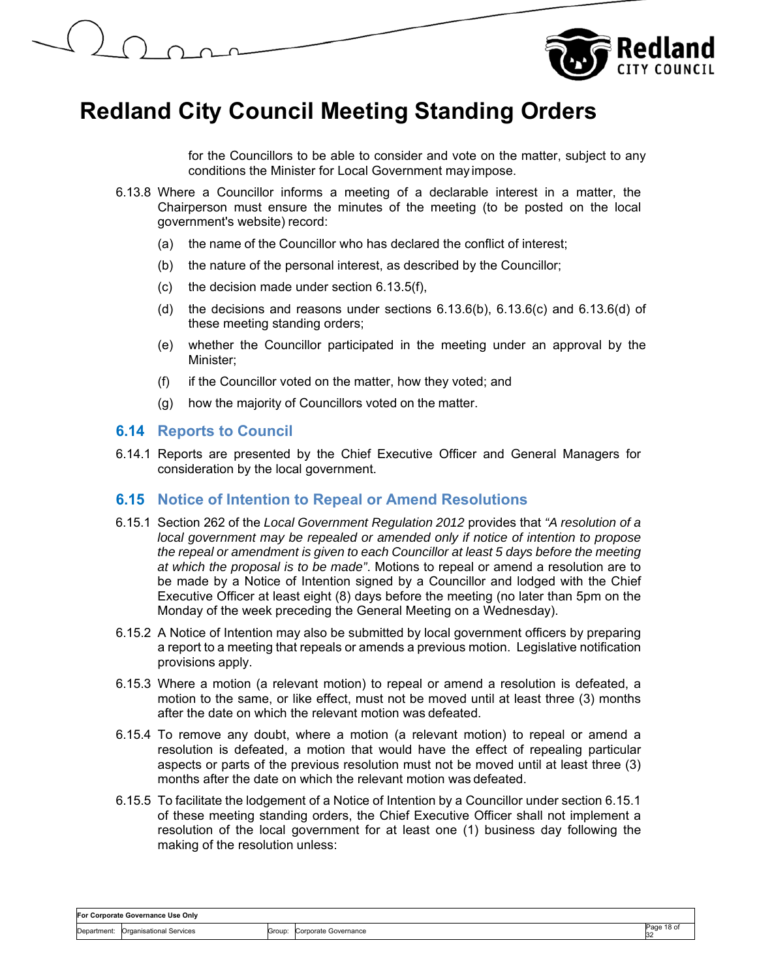



for the Councillors to be able to consider and vote on the matter, subject to any conditions the Minister for Local Government may impose.

- 6.13.8 Where a Councillor informs a meeting of a declarable interest in a matter, the Chairperson must ensure the minutes of the meeting (to be posted on the local government's website) record:
	- (a) the name of the Councillor who has declared the conflict of interest;
	- (b) the nature of the personal interest, as described by the Councillor;
	- (c) the decision made under section 6.13.5(f),
	- (d) the decisions and reasons under sections  $6.13.6(b)$ ,  $6.13.6(c)$  and  $6.13.6(d)$  of these meeting standing orders;
	- (e) whether the Councillor participated in the meeting under an approval by the Minister;
	- (f) if the Councillor voted on the matter, how they voted; and
	- (g) how the majority of Councillors voted on the matter.

#### **6.14 Reports to Council**

6.14.1 Reports are presented by the Chief Executive Officer and General Managers for consideration by the local government.

#### **6.15 Notice of Intention to Repeal or Amend Resolutions**

- 6.15.1 Section 262 of the *Local Government Regulation 2012* provides that *"A resolution of a local government may be repealed or amended only if notice of intention to propose the repeal or amendment is given to each Councillor at least 5 days before the meeting at which the proposal is to be made"*. Motions to repeal or amend a resolution are to be made by a Notice of Intention signed by a Councillor and lodged with the Chief Executive Officer at least eight (8) days before the meeting (no later than 5pm on the Monday of the week preceding the General Meeting on a Wednesday).
- 6.15.2 A Notice of Intention may also be submitted by local government officers by preparing a report to a meeting that repeals or amends a previous motion. Legislative notification provisions apply.
- 6.15.3 Where a motion (a relevant motion) to repeal or amend a resolution is defeated, a motion to the same, or like effect, must not be moved until at least three (3) months after the date on which the relevant motion was defeated.
- 6.15.4 To remove any doubt, where a motion (a relevant motion) to repeal or amend a resolution is defeated, a motion that would have the effect of repealing particular aspects or parts of the previous resolution must not be moved until at least three (3) months after the date on which the relevant motion was defeated.
- 6.15.5 To facilitate the lodgement of a Notice of Intention by a Councillor under section 6.15.1 of these meeting standing orders, the Chief Executive Officer shall not implement a resolution of the local government for at least one (1) business day following the making of the resolution unless: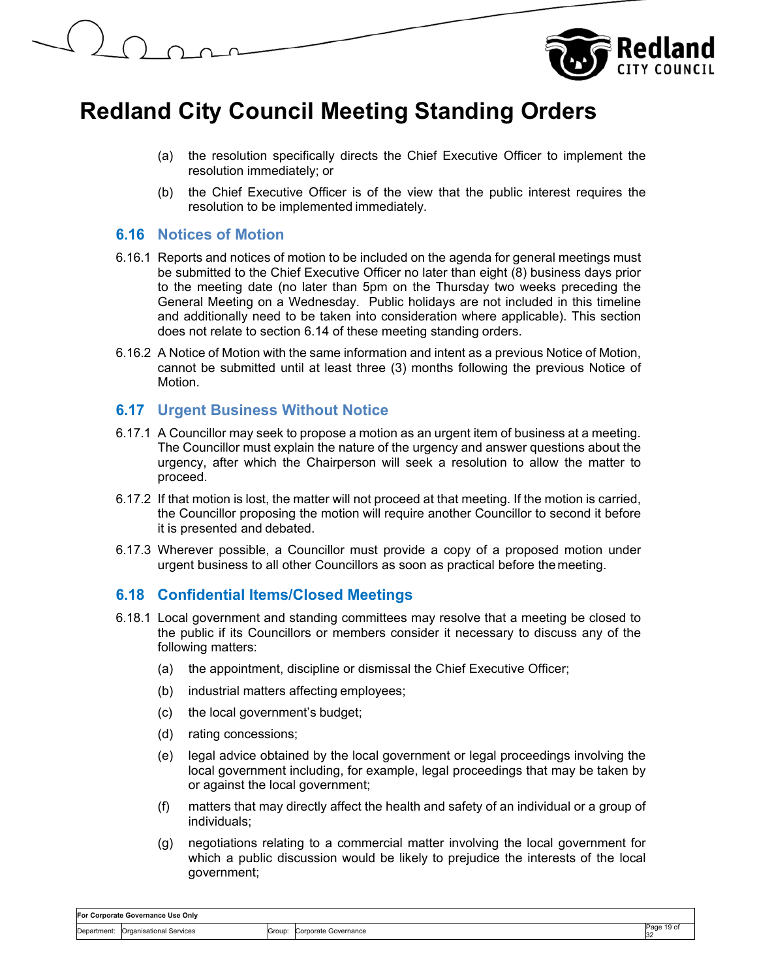



- (a) the resolution specifically directs the Chief Executive Officer to implement the resolution immediately; or
- (b) the Chief Executive Officer is of the view that the public interest requires the resolution to be implemented immediately.

### **6.16 Notices of Motion**

- 6.16.1 Reports and notices of motion to be included on the agenda for general meetings must be submitted to the Chief Executive Officer no later than eight (8) business days prior to the meeting date (no later than 5pm on the Thursday two weeks preceding the General Meeting on a Wednesday. Public holidays are not included in this timeline and additionally need to be taken into consideration where applicable). This section does not relate to section 6.14 of these meeting standing orders.
- 6.16.2 A Notice of Motion with the same information and intent as a previous Notice of Motion, cannot be submitted until at least three (3) months following the previous Notice of Motion.

### **6.17 Urgent Business Without Notice**

- 6.17.1 A Councillor may seek to propose a motion as an urgent item of business at a meeting. The Councillor must explain the nature of the urgency and answer questions about the urgency, after which the Chairperson will seek a resolution to allow the matter to proceed.
- 6.17.2 If that motion is lost, the matter will not proceed at that meeting. If the motion is carried, the Councillor proposing the motion will require another Councillor to second it before it is presented and debated.
- 6.17.3 Wherever possible, a Councillor must provide a copy of a proposed motion under urgent business to all other Councillors as soon as practical before the meeting.

## **6.18 Confidential Items/Closed Meetings**

- 6.18.1 Local government and standing committees may resolve that a meeting be closed to the public if its Councillors or members consider it necessary to discuss any of the following matters:
	- (a) the appointment, discipline or dismissal the Chief Executive Officer;
	- (b) industrial matters affecting employees;
	- (c) the local government's budget;
	- (d) rating concessions;
	- (e) legal advice obtained by the local government or legal proceedings involving the local government including, for example, legal proceedings that may be taken by or against the local government;
	- (f) matters that may directly affect the health and safety of an individual or a group of individuals;
	- (g) negotiations relating to a commercial matter involving the local government for which a public discussion would be likely to prejudice the interests of the local government;

| For Corporate Governance Use Only |                         |        |                      |            |  |
|-----------------------------------|-------------------------|--------|----------------------|------------|--|
| Department:                       | Organisational Services | Group: | Corporate Governance | Page 19 of |  |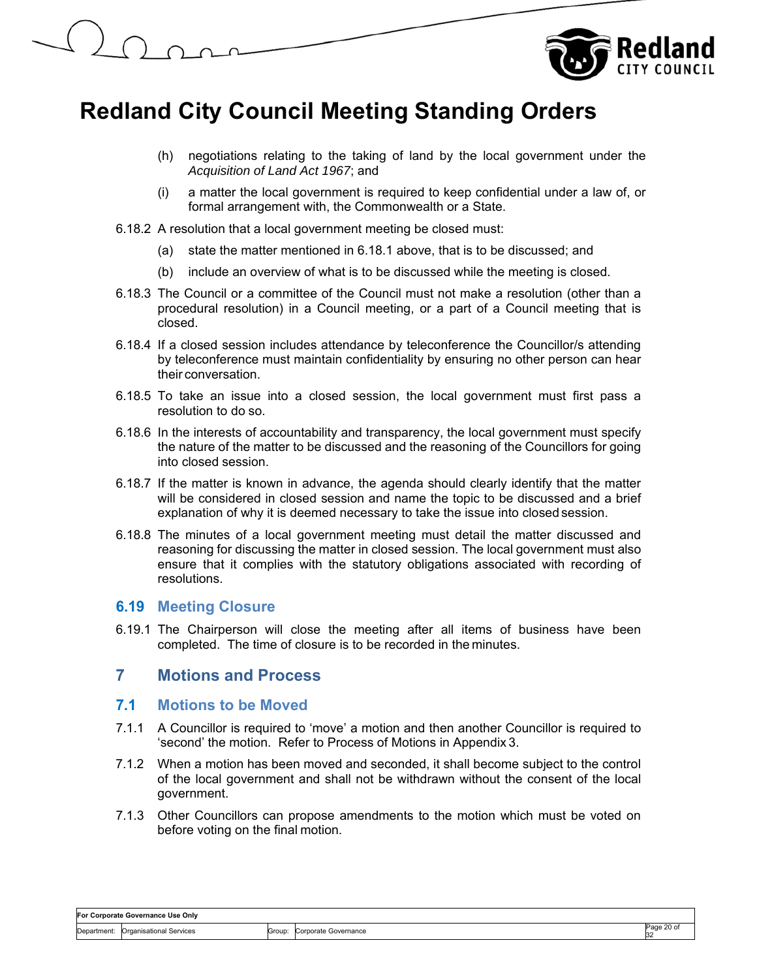

- (h) negotiations relating to the taking of land by the local government under the *Acquisition of Land Act 1967*; and
- (i) a matter the local government is required to keep confidential under a law of, or formal arrangement with, the Commonwealth or a State.
- 6.18.2 A resolution that a local government meeting be closed must:
	- (a) state the matter mentioned in 6.18.1 above, that is to be discussed; and
	- (b) include an overview of what is to be discussed while the meeting is closed.
- 6.18.3 The Council or a committee of the Council must not make a resolution (other than a procedural resolution) in a Council meeting, or a part of a Council meeting that is closed.
- 6.18.4 If a closed session includes attendance by teleconference the Councillor/s attending by teleconference must maintain confidentiality by ensuring no other person can hear their conversation.
- 6.18.5 To take an issue into a closed session, the local government must first pass a resolution to do so.
- 6.18.6 In the interests of accountability and transparency, the local government must specify the nature of the matter to be discussed and the reasoning of the Councillors for going into closed session.
- 6.18.7 If the matter is known in advance, the agenda should clearly identify that the matter will be considered in closed session and name the topic to be discussed and a brief explanation of why it is deemed necessary to take the issue into closed session.
- 6.18.8 The minutes of a local government meeting must detail the matter discussed and reasoning for discussing the matter in closed session. The local government must also ensure that it complies with the statutory obligations associated with recording of resolutions.

#### **6.19 Meeting Closure**

6.19.1 The Chairperson will close the meeting after all items of business have been completed. The time of closure is to be recorded in the minutes.

## **7 Motions and Process**

#### **7.1 Motions to be Moved**

- 7.1.1 A Councillor is required to 'move' a motion and then another Councillor is required to 'second' the motion. Refer to Process of Motions in Appendix 3.
- 7.1.2 When a motion has been moved and seconded, it shall become subject to the control of the local government and shall not be withdrawn without the consent of the local government.
- 7.1.3 Other Councillors can propose amendments to the motion which must be voted on before voting on the final motion.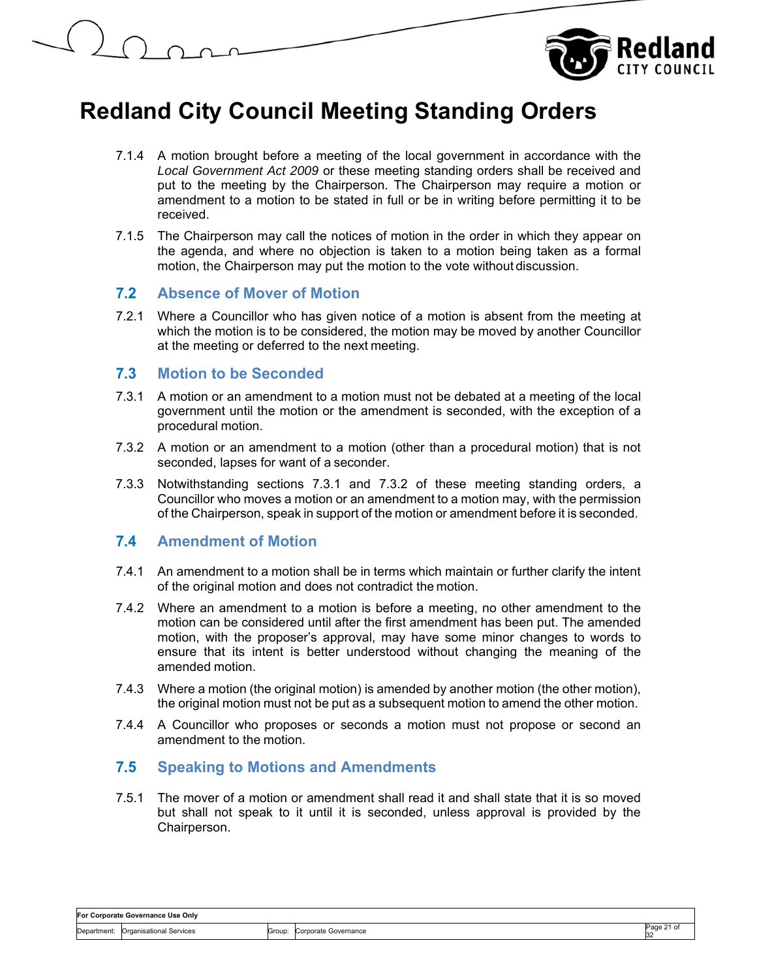

- 7.1.4 A motion brought before a meeting of the local government in accordance with the *Local Government Act 2009* or these meeting standing orders shall be received and put to the meeting by the Chairperson. The Chairperson may require a motion or amendment to a motion to be stated in full or be in writing before permitting it to be received.
- 7.1.5 The Chairperson may call the notices of motion in the order in which they appear on the agenda, and where no objection is taken to a motion being taken as a formal motion, the Chairperson may put the motion to the vote without discussion.

#### **7.2 Absence of Mover of Motion**

7.2.1 Where a Councillor who has given notice of a motion is absent from the meeting at which the motion is to be considered, the motion may be moved by another Councillor at the meeting or deferred to the next meeting.

#### **7.3 Motion to be Seconded**

- 7.3.1 A motion or an amendment to a motion must not be debated at a meeting of the local government until the motion or the amendment is seconded, with the exception of a procedural motion.
- 7.3.2 A motion or an amendment to a motion (other than a procedural motion) that is not seconded, lapses for want of a seconder.
- 7.3.3 Notwithstanding sections 7.3.1 and 7.3.2 of these meeting standing orders, a Councillor who moves a motion or an amendment to a motion may, with the permission of the Chairperson, speak in support of the motion or amendment before it is seconded.

## **7.4 Amendment of Motion**

- 7.4.1 An amendment to a motion shall be in terms which maintain or further clarify the intent of the original motion and does not contradict the motion.
- 7.4.2 Where an amendment to a motion is before a meeting, no other amendment to the motion can be considered until after the first amendment has been put. The amended motion, with the proposer's approval, may have some minor changes to words to ensure that its intent is better understood without changing the meaning of the amended motion.
- 7.4.3 Where a motion (the original motion) is amended by another motion (the other motion), the original motion must not be put as a subsequent motion to amend the other motion.
- 7.4.4 A Councillor who proposes or seconds a motion must not propose or second an amendment to the motion.

## **7.5 Speaking to Motions and Amendments**

7.5.1 The mover of a motion or amendment shall read it and shall state that it is so moved but shall not speak to it until it is seconded, unless approval is provided by the Chairperson.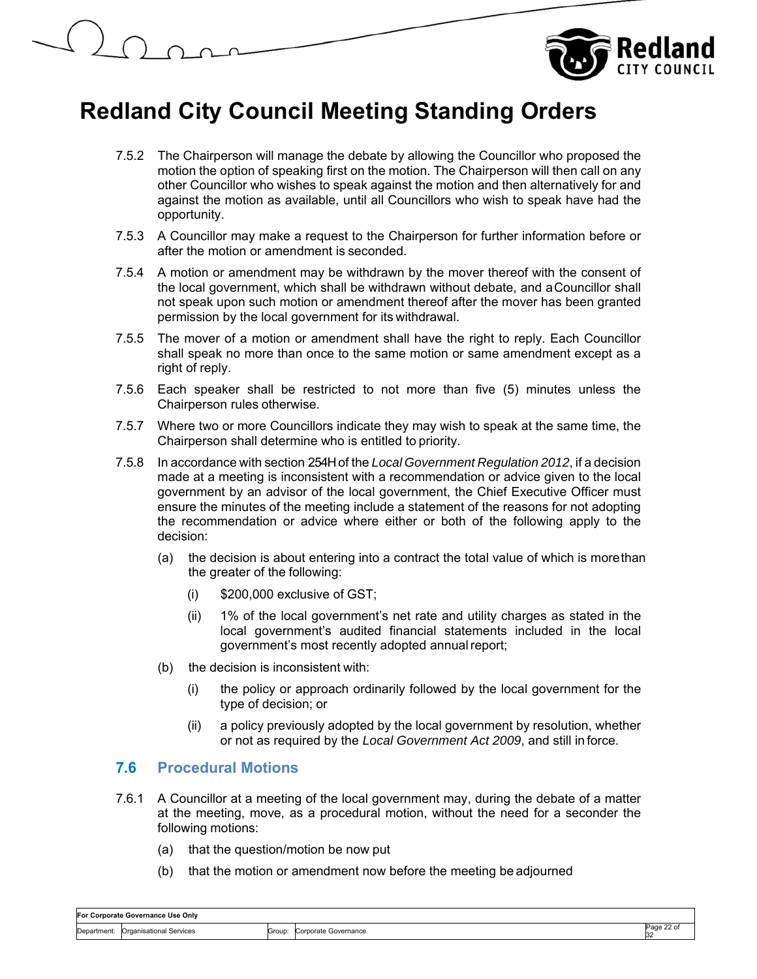



- 7.5.2 The Chairperson will manage the debate by allowing the Councillor who proposed the motion the option of speaking first on the motion. The Chairperson will then call on any other Councillor who wishes to speak against the motion and then alternatively for and against the motion as available, until all Councillors who wish to speak have had the opportunity.
- 7.5.3 A Councillor may make a request to the Chairperson for further information before or after the motion or amendment is seconded.
- 7.5.4 A motion or amendment may be withdrawn by the mover thereof with the consent of the local government, which shall be withdrawn without debate, and a Councillor shall not speak upon such motion or amendment thereof after the mover has been granted permission by the local government for its withdrawal.
- 7.5.5 The mover of a motion or amendment shall have the right to reply. Each Councillor shall speak no more than once to the same motion or same amendment except as a right of reply.
- 7.5.6 Each speaker shall be restricted to not more than five (5) minutes unless the Chairperson rules otherwise.
- 7.5.7 Where two or more Councillors indicate they may wish to speak at the same time, the Chairperson shall determine who is entitled to priority.
- 7.5.8 In accordance with section 254H of the *Local Government Regulation 2012*, if a decision made at a meeting is inconsistent with a recommendation or advice given to the local government by an advisor of the local government, the Chief Executive Officer must ensure the minutes of the meeting include a statement of the reasons for not adopting the recommendation or advice where either or both of the following apply to the decision:
	- (a) the decision is about entering into a contract the total value of which is more than the greater of the following:
		- (i) \$200,000 exclusive of GST;
		- (ii) 1% of the local government's net rate and utility charges as stated in the local government's audited financial statements included in the local government's most recently adopted annual report;
	- (b) the decision is inconsistent with:
		- (i) the policy or approach ordinarily followed by the local government for the type of decision; or
		- (ii) a policy previously adopted by the local government by resolution, whether or not as required by the *Local Government Act 2009*, and still in force.

## **7.6 Procedural Motions**

- 7.6.1 A Councillor at a meeting of the local government may, during the debate of a matter at the meeting, move, as a procedural motion, without the need for a seconder the following motions:
	- (a) that the question/motion be now put
	- (b) that the motion or amendment now before the meeting be adjourned

| For Corporate Governance Use Onlv |                                  |       |                                                                                                                                     |                |
|-----------------------------------|----------------------------------|-------|-------------------------------------------------------------------------------------------------------------------------------------|----------------|
| :Department                       | าisationa<br>l Service:<br>Orae: | Group | ∋overnance<br><b>Arnorato</b><br><b>UUIDUIDU</b><br>the contract of the contract of the contract of the contract of the contract of | $22$ of<br>-32 |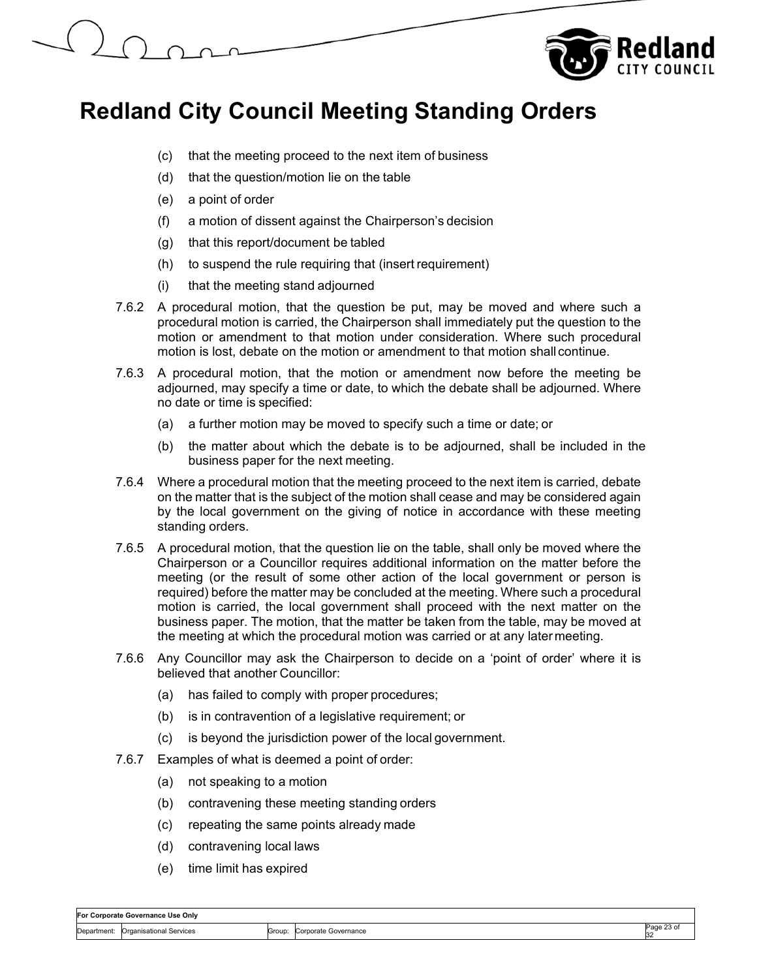

- (c) that the meeting proceed to the next item of business
- (d) that the question/motion lie on the table
- (e) a point of order
- (f) a motion of dissent against the Chairperson's decision
- (g) that this report/document be tabled
- (h) to suspend the rule requiring that (insert requirement)
- (i) that the meeting stand adjourned
- 7.6.2 A procedural motion, that the question be put, may be moved and where such a procedural motion is carried, the Chairperson shall immediately put the question to the motion or amendment to that motion under consideration. Where such procedural motion is lost, debate on the motion or amendment to that motion shall continue.
- 7.6.3 A procedural motion, that the motion or amendment now before the meeting be adjourned, may specify a time or date, to which the debate shall be adjourned. Where no date or time is specified:
	- (a) a further motion may be moved to specify such a time or date; or
	- (b) the matter about which the debate is to be adjourned, shall be included in the business paper for the next meeting.
- 7.6.4 Where a procedural motion that the meeting proceed to the next item is carried, debate on the matter that is the subject of the motion shall cease and may be considered again by the local government on the giving of notice in accordance with these meeting standing orders.
- 7.6.5 A procedural motion, that the question lie on the table, shall only be moved where the Chairperson or a Councillor requires additional information on the matter before the meeting (or the result of some other action of the local government or person is required) before the matter may be concluded at the meeting. Where such a procedural motion is carried, the local government shall proceed with the next matter on the business paper. The motion, that the matter be taken from the table, may be moved at the meeting at which the procedural motion was carried or at any later meeting.
- 7.6.6 Any Councillor may ask the Chairperson to decide on a 'point of order' where it is believed that another Councillor:
	- (a) has failed to comply with proper procedures;
	- (b) is in contravention of a legislative requirement; or
	- (c) is beyond the jurisdiction power of the local government.
- 7.6.7 Examples of what is deemed a point of order:
	- (a) not speaking to a motion
	- (b) contravening these meeting standing orders
	- (c) repeating the same points already made
	- (d) contravening local laws
	- (e) time limit has expired

|             | For Corporate Governance Use Only |        |                      |                  |  |  |
|-------------|-----------------------------------|--------|----------------------|------------------|--|--|
| Department: | Croanisational S<br>Services      | Group: | Corporate Governance | - O1<br>aae?<br> |  |  |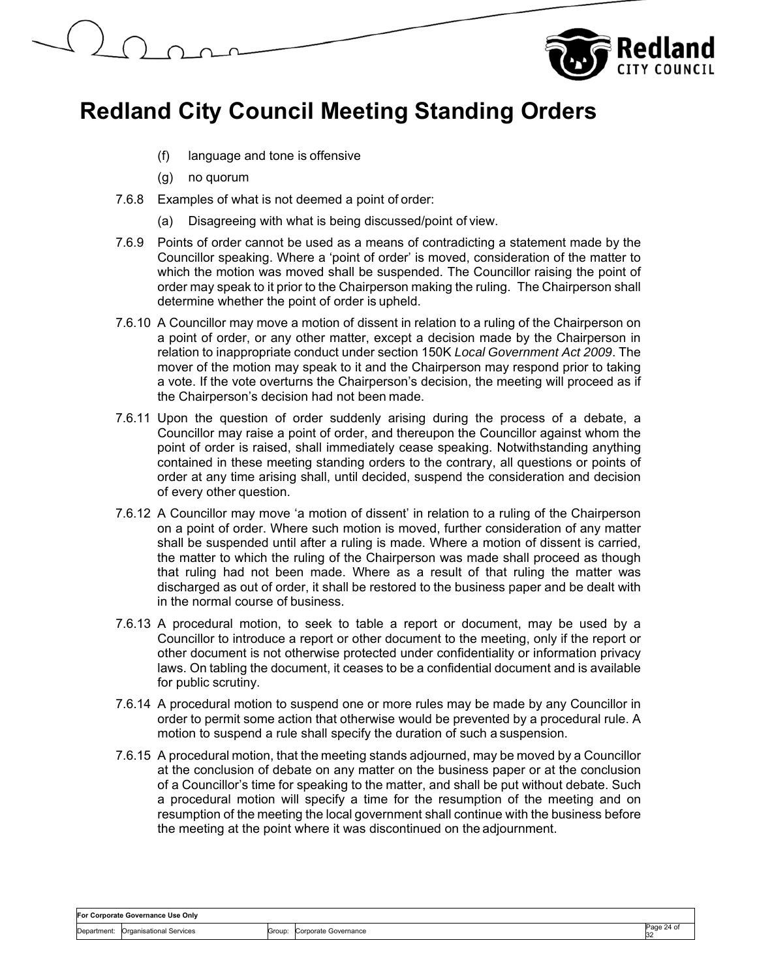

- (f) language and tone is offensive
- (g) no quorum
- 7.6.8 Examples of what is not deemed a point of order:
	- (a) Disagreeing with what is being discussed/point of view.
- 7.6.9 Points of order cannot be used as a means of contradicting a statement made by the Councillor speaking. Where a 'point of order' is moved, consideration of the matter to which the motion was moved shall be suspended. The Councillor raising the point of order may speak to it prior to the Chairperson making the ruling. The Chairperson shall determine whether the point of order is upheld.
- 7.6.10 A Councillor may move a motion of dissent in relation to a ruling of the Chairperson on a point of order, or any other matter, except a decision made by the Chairperson in relation to inappropriate conduct under section 150K *Local Government Act 2009*. The mover of the motion may speak to it and the Chairperson may respond prior to taking a vote. If the vote overturns the Chairperson's decision, the meeting will proceed as if the Chairperson's decision had not been made.
- 7.6.11 Upon the question of order suddenly arising during the process of a debate, a Councillor may raise a point of order, and thereupon the Councillor against whom the point of order is raised, shall immediately cease speaking. Notwithstanding anything contained in these meeting standing orders to the contrary, all questions or points of order at any time arising shall, until decided, suspend the consideration and decision of every other question.
- 7.6.12 A Councillor may move 'a motion of dissent' in relation to a ruling of the Chairperson on a point of order. Where such motion is moved, further consideration of any matter shall be suspended until after a ruling is made. Where a motion of dissent is carried, the matter to which the ruling of the Chairperson was made shall proceed as though that ruling had not been made. Where as a result of that ruling the matter was discharged as out of order, it shall be restored to the business paper and be dealt with in the normal course of business.
- 7.6.13 A procedural motion, to seek to table a report or document, may be used by a Councillor to introduce a report or other document to the meeting, only if the report or other document is not otherwise protected under confidentiality or information privacy laws. On tabling the document, it ceases to be a confidential document and is available for public scrutiny.
- 7.6.14 A procedural motion to suspend one or more rules may be made by any Councillor in order to permit some action that otherwise would be prevented by a procedural rule. A motion to suspend a rule shall specify the duration of such a suspension.
- 7.6.15 A procedural motion, that the meeting stands adjourned, may be moved by a Councillor at the conclusion of debate on any matter on the business paper or at the conclusion of a Councillor's time for speaking to the matter, and shall be put without debate. Such a procedural motion will specify a time for the resumption of the meeting and on resumption of the meeting the local government shall continue with the business before the meeting at the point where it was discontinued on the adjournment.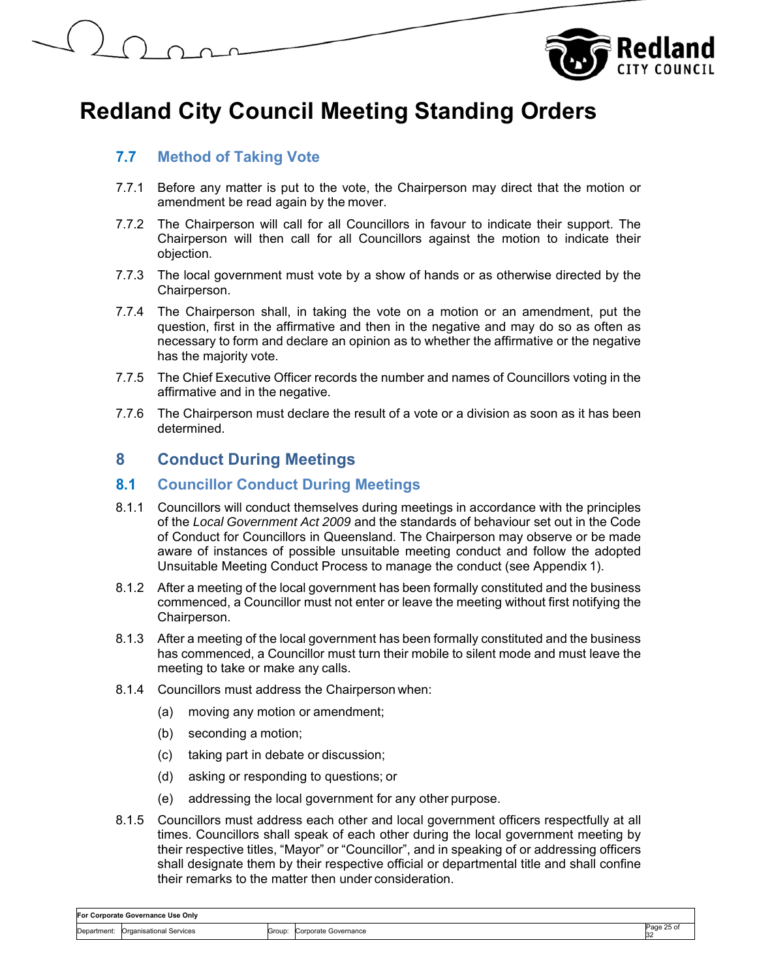

## **7.7 Method of Taking Vote**

- 7.7.1 Before any matter is put to the vote, the Chairperson may direct that the motion or amendment be read again by the mover.
- 7.7.2 The Chairperson will call for all Councillors in favour to indicate their support. The Chairperson will then call for all Councillors against the motion to indicate their objection.
- 7.7.3 The local government must vote by a show of hands or as otherwise directed by the Chairperson.
- 7.7.4 The Chairperson shall, in taking the vote on a motion or an amendment, put the question, first in the affirmative and then in the negative and may do so as often as necessary to form and declare an opinion as to whether the affirmative or the negative has the majority vote.
- 7.7.5 The Chief Executive Officer records the number and names of Councillors voting in the affirmative and in the negative.
- 7.7.6 The Chairperson must declare the result of a vote or a division as soon as it has been determined.

## **8 Conduct During Meetings**

### **8.1 Councillor Conduct During Meetings**

- 8.1.1 Councillors will conduct themselves during meetings in accordance with the principles of the *Local Government Act 2009* and the standards of behaviour set out in the Code of Conduct for Councillors in Queensland. The Chairperson may observe or be made aware of instances of possible unsuitable meeting conduct and follow the adopted Unsuitable Meeting Conduct Process to manage the conduct (see Appendix 1).
- 8.1.2 After a meeting of the local government has been formally constituted and the business commenced, a Councillor must not enter or leave the meeting without first notifying the Chairperson.
- 8.1.3 After a meeting of the local government has been formally constituted and the business has commenced, a Councillor must turn their mobile to silent mode and must leave the meeting to take or make any calls.
- 8.1.4 Councillors must address the Chairperson when:
	- (a) moving any motion or amendment;
	- (b) seconding a motion;
	- (c) taking part in debate or discussion;
	- (d) asking or responding to questions; or
	- (e) addressing the local government for any other purpose.
- 8.1.5 Councillors must address each other and local government officers respectfully at all times. Councillors shall speak of each other during the local government meeting by their respective titles, "Mayor" or "Councillor", and in speaking of or addressing officers shall designate them by their respective official or departmental title and shall confine their remarks to the matter then under consideration.

| For Corporate Governance Use Only |                                |        |                      |                 |  |
|-----------------------------------|--------------------------------|--------|----------------------|-----------------|--|
| Department:                       | <b>Organisational Services</b> | Group: | Corporate Governance | Page 25 of<br>~ |  |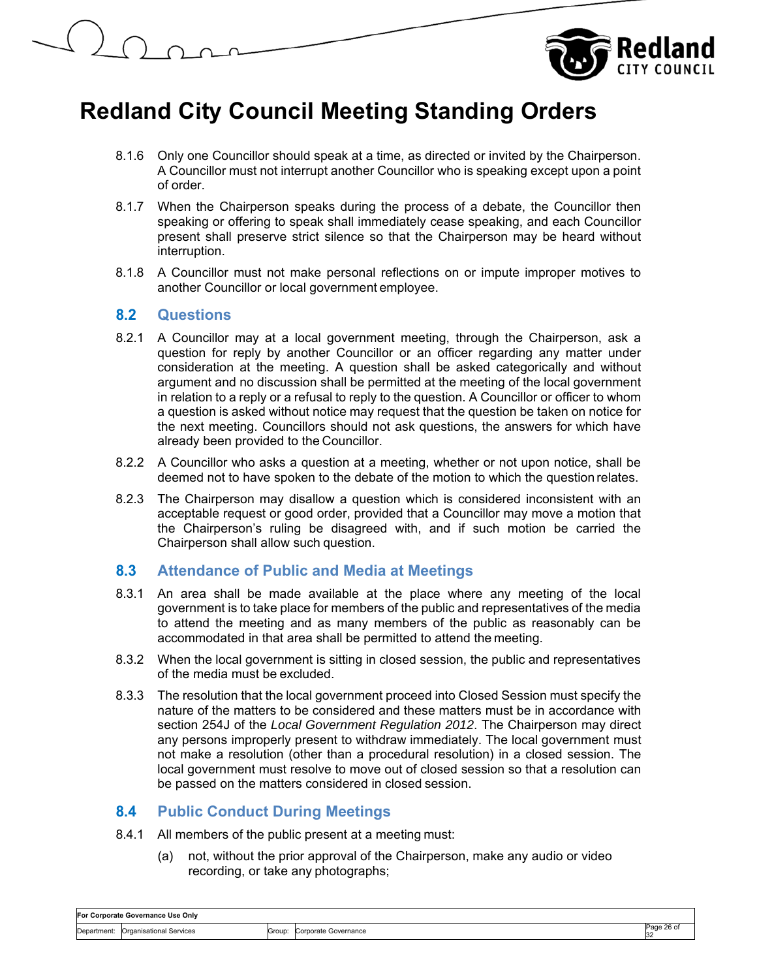

- 8.1.6 Only one Councillor should speak at a time, as directed or invited by the Chairperson. A Councillor must not interrupt another Councillor who is speaking except upon a point of order.
- 8.1.7 When the Chairperson speaks during the process of a debate, the Councillor then speaking or offering to speak shall immediately cease speaking, and each Councillor present shall preserve strict silence so that the Chairperson may be heard without interruption.
- 8.1.8 A Councillor must not make personal reflections on or impute improper motives to another Councillor or local government employee.

## **8.2 Questions**

- 8.2.1 A Councillor may at a local government meeting, through the Chairperson, ask a question for reply by another Councillor or an officer regarding any matter under consideration at the meeting. A question shall be asked categorically and without argument and no discussion shall be permitted at the meeting of the local government in relation to a reply or a refusal to reply to the question. A Councillor or officer to whom a question is asked without notice may request that the question be taken on notice for the next meeting. Councillors should not ask questions, the answers for which have already been provided to the Councillor.
- 8.2.2 A Councillor who asks a question at a meeting, whether or not upon notice, shall be deemed not to have spoken to the debate of the motion to which the question relates.
- 8.2.3 The Chairperson may disallow a question which is considered inconsistent with an acceptable request or good order, provided that a Councillor may move a motion that the Chairperson's ruling be disagreed with, and if such motion be carried the Chairperson shall allow such question.

## **8.3 Attendance of Public and Media at Meetings**

- 8.3.1 An area shall be made available at the place where any meeting of the local government is to take place for members of the public and representatives of the media to attend the meeting and as many members of the public as reasonably can be accommodated in that area shall be permitted to attend the meeting.
- 8.3.2 When the local government is sitting in closed session, the public and representatives of the media must be excluded.
- 8.3.3 The resolution that the local government proceed into Closed Session must specify the nature of the matters to be considered and these matters must be in accordance with section 254J of the *Local Government Regulation 2012*. The Chairperson may direct any persons improperly present to withdraw immediately. The local government must not make a resolution (other than a procedural resolution) in a closed session. The local government must resolve to move out of closed session so that a resolution can be passed on the matters considered in closed session.

## **8.4 Public Conduct During Meetings**

- 8.4.1 All members of the public present at a meeting must:
	- (a) not, without the prior approval of the Chairperson, make any audio or video recording, or take any photographs;

| For Corporate Governance Use Onlv |                                |        |                      |                  |  |
|-----------------------------------|--------------------------------|--------|----------------------|------------------|--|
| :Jepartment                       | <b>Organisational Services</b> | Group: | Corporate Governance | Page 26 of<br>32 |  |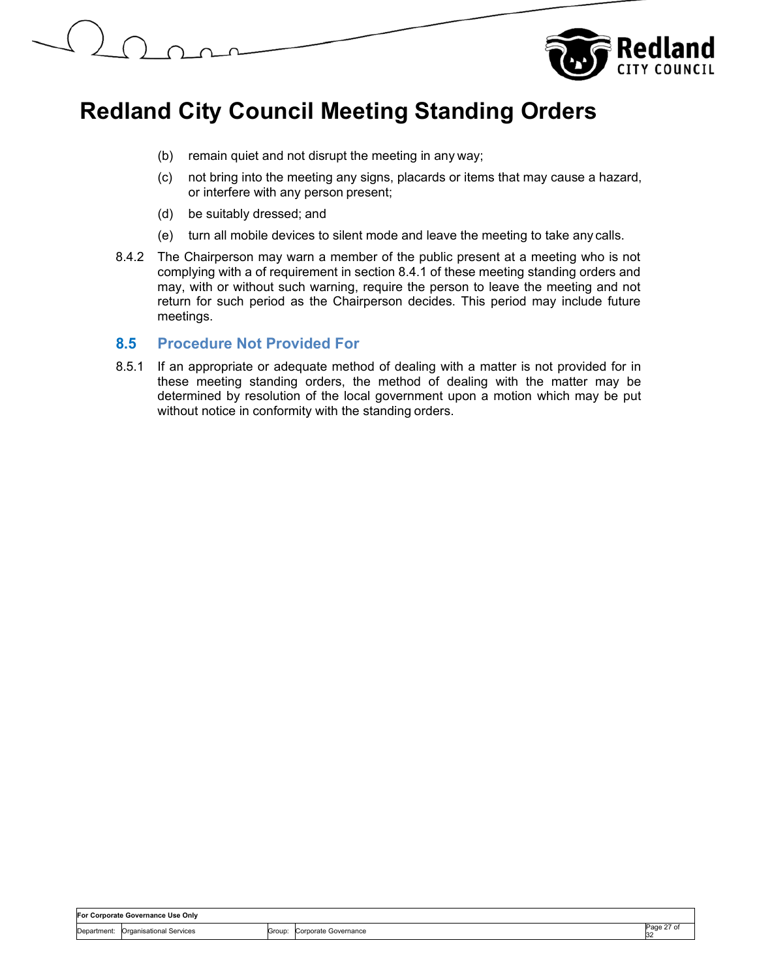



- (b) remain quiet and not disrupt the meeting in any way;
- (c) not bring into the meeting any signs, placards or items that may cause a hazard, or interfere with any person present;
- (d) be suitably dressed; and
- (e) turn all mobile devices to silent mode and leave the meeting to take any calls.
- 8.4.2 The Chairperson may warn a member of the public present at a meeting who is not complying with a of requirement in section 8.4.1 of these meeting standing orders and may, with or without such warning, require the person to leave the meeting and not return for such period as the Chairperson decides. This period may include future meetings.

#### **8.5 Procedure Not Provided For**

8.5.1 If an appropriate or adequate method of dealing with a matter is not provided for in these meeting standing orders, the method of dealing with the matter may be determined by resolution of the local government upon a motion which may be put without notice in conformity with the standing orders.

| For Corporate Governance Use Only |                         |        |                      |                   |
|-----------------------------------|-------------------------|--------|----------------------|-------------------|
| Department:                       | Organisational Services | Group: | Corporate Governance | Page 27 of<br>-32 |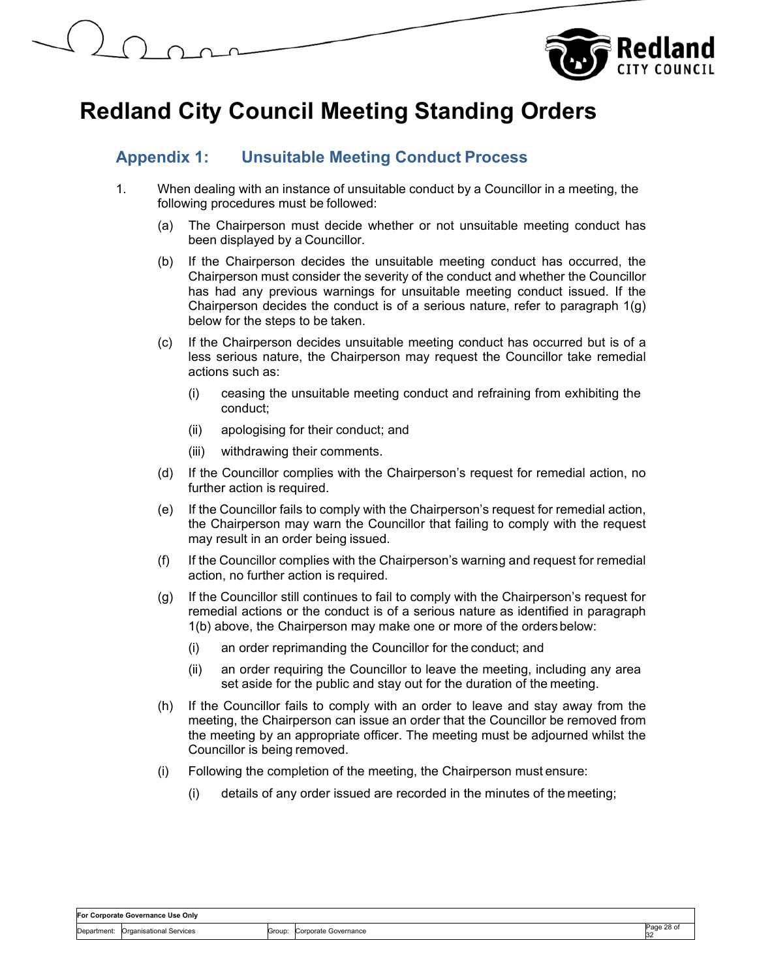

## **Appendix 1: Unsuitable Meeting Conduct Process**

- 1. When dealing with an instance of unsuitable conduct by a Councillor in a meeting, the following procedures must be followed:
	- (a) The Chairperson must decide whether or not unsuitable meeting conduct has been displayed by a Councillor.
	- (b) If the Chairperson decides the unsuitable meeting conduct has occurred, the Chairperson must consider the severity of the conduct and whether the Councillor has had any previous warnings for unsuitable meeting conduct issued. If the Chairperson decides the conduct is of a serious nature, refer to paragraph 1(g) below for the steps to be taken.
	- (c) If the Chairperson decides unsuitable meeting conduct has occurred but is of a less serious nature, the Chairperson may request the Councillor take remedial actions such as:
		- (i) ceasing the unsuitable meeting conduct and refraining from exhibiting the conduct;
		- (ii) apologising for their conduct; and
		- (iii) withdrawing their comments.
	- (d) If the Councillor complies with the Chairperson's request for remedial action, no further action is required.
	- (e) If the Councillor fails to comply with the Chairperson's request for remedial action, the Chairperson may warn the Councillor that failing to comply with the request may result in an order being issued.
	- (f) If the Councillor complies with the Chairperson's warning and request for remedial action, no further action is required.
	- (g) If the Councillor still continues to fail to comply with the Chairperson's request for remedial actions or the conduct is of a serious nature as identified in paragraph 1(b) above, the Chairperson may make one or more of the orders below:
		- (i) an order reprimanding the Councillor for the conduct; and
		- (ii) an order requiring the Councillor to leave the meeting, including any area set aside for the public and stay out for the duration of the meeting.
	- (h) If the Councillor fails to comply with an order to leave and stay away from the meeting, the Chairperson can issue an order that the Councillor be removed from the meeting by an appropriate officer. The meeting must be adjourned whilst the Councillor is being removed.
	- (i) Following the completion of the meeting, the Chairperson must ensure:
		- (i) details of any order issued are recorded in the minutes of the meeting;

#### **For Corporate Governance Use Only**  Department: Organisational Services Group: Corporate Governance Page 28 of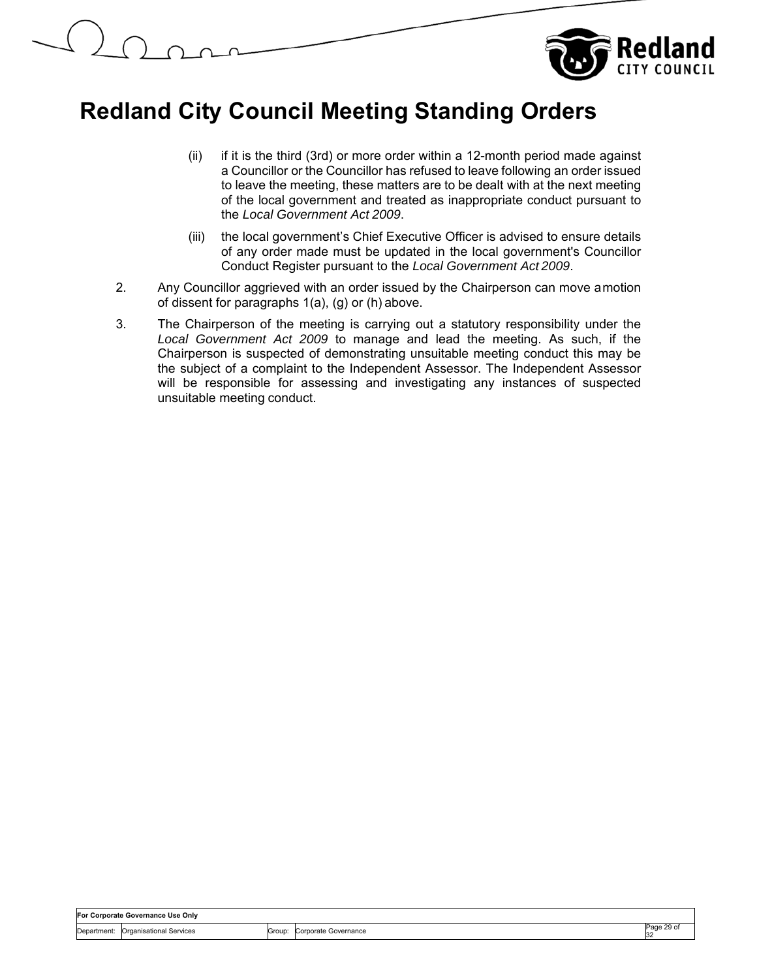

- (ii) if it is the third (3rd) or more order within a 12-month period made against a Councillor or the Councillor has refused to leave following an order issued to leave the meeting, these matters are to be dealt with at the next meeting of the local government and treated as inappropriate conduct pursuant to the *Local Government Act 2009*.
- (iii) the local government's Chief Executive Officer is advised to ensure details of any order made must be updated in the local government's Councillor Conduct Register pursuant to the *Local Government Act 2009*.
- 2. Any Councillor aggrieved with an order issued by the Chairperson can move a motion of dissent for paragraphs 1(a), (g) or (h) above.
- 3. The Chairperson of the meeting is carrying out a statutory responsibility under the *Local Government Act 2009* to manage and lead the meeting. As such, if the Chairperson is suspected of demonstrating unsuitable meeting conduct this may be the subject of a complaint to the Independent Assessor. The Independent Assessor will be responsible for assessing and investigating any instances of suspected unsuitable meeting conduct.

| 'ornorato l |                        | For Corporate Governance Use Only |        |                   |                  |
|-------------|------------------------|-----------------------------------|--------|-------------------|------------------|
|             | Departmen <sup>®</sup> | Organisational Services           | Group: | Governance<br>wac | Page 29 of<br>32 |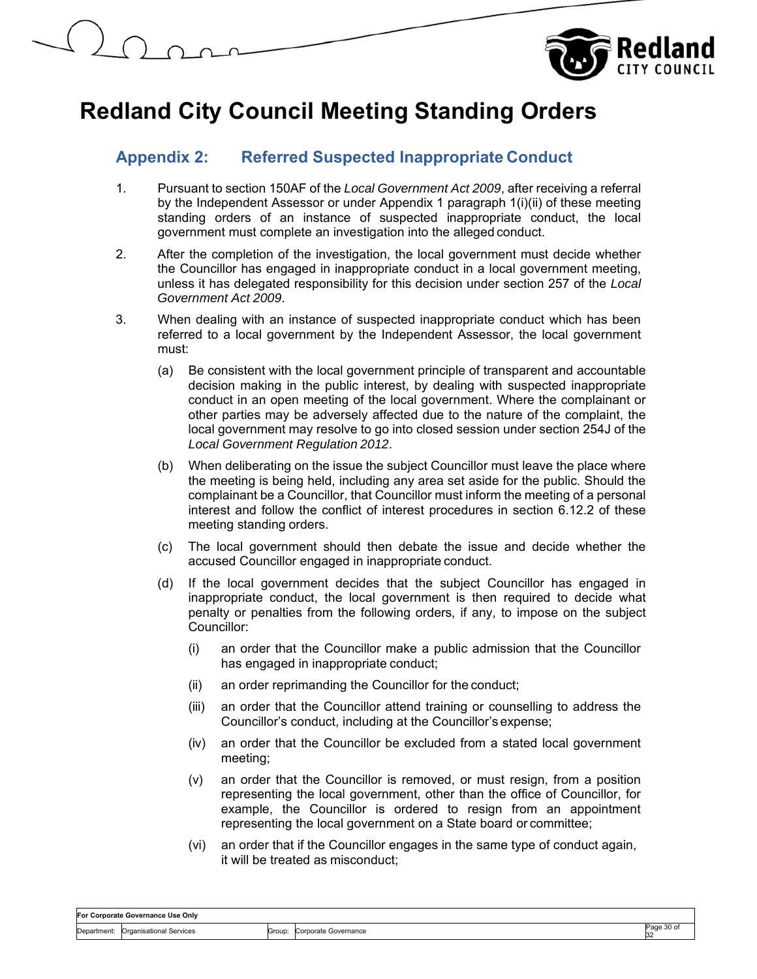

## **Appendix 2: Referred Suspected Inappropriate Conduct**

- 1. Pursuant to section 150AF of the *Local Government Act 2009*, after receiving a referral by the Independent Assessor or under Appendix 1 paragraph 1(i)(ii) of these meeting standing orders of an instance of suspected inappropriate conduct, the local government must complete an investigation into the alleged conduct.
- 2. After the completion of the investigation, the local government must decide whether the Councillor has engaged in inappropriate conduct in a local government meeting, unless it has delegated responsibility for this decision under section 257 of the *Local Government Act 2009*.
- 3. When dealing with an instance of suspected inappropriate conduct which has been referred to a local government by the Independent Assessor, the local government must:
	- (a) Be consistent with the local government principle of transparent and accountable decision making in the public interest, by dealing with suspected inappropriate conduct in an open meeting of the local government. Where the complainant or other parties may be adversely affected due to the nature of the complaint, the local government may resolve to go into closed session under section 254J of the *Local Government Regulation 2012*.
	- (b) When deliberating on the issue the subject Councillor must leave the place where the meeting is being held, including any area set aside for the public. Should the complainant be a Councillor, that Councillor must inform the meeting of a personal interest and follow the conflict of interest procedures in section 6.12.2 of these meeting standing orders.
	- (c) The local government should then debate the issue and decide whether the accused Councillor engaged in inappropriate conduct.
	- (d) If the local government decides that the subject Councillor has engaged in inappropriate conduct, the local government is then required to decide what penalty or penalties from the following orders, if any, to impose on the subject Councillor:
		- (i) an order that the Councillor make a public admission that the Councillor has engaged in inappropriate conduct;
		- (ii) an order reprimanding the Councillor for the conduct;
		- (iii) an order that the Councillor attend training or counselling to address the Councillor's conduct, including at the Councillor's expense;
		- (iv) an order that the Councillor be excluded from a stated local government meeting;
		- (v) an order that the Councillor is removed, or must resign, from a position representing the local government, other than the office of Councillor, for example, the Councillor is ordered to resign from an appointment representing the local government on a State board or committee;
		- (vi) an order that if the Councillor engages in the same type of conduct again, it will be treated as misconduct;

| For Corporate Governance Use Only |                                |        |                      |                        |  |  |
|-----------------------------------|--------------------------------|--------|----------------------|------------------------|--|--|
| Department:                       | <b>Organisational Services</b> | Group: | Corporate Governance | <sup>o</sup> age 30 of |  |  |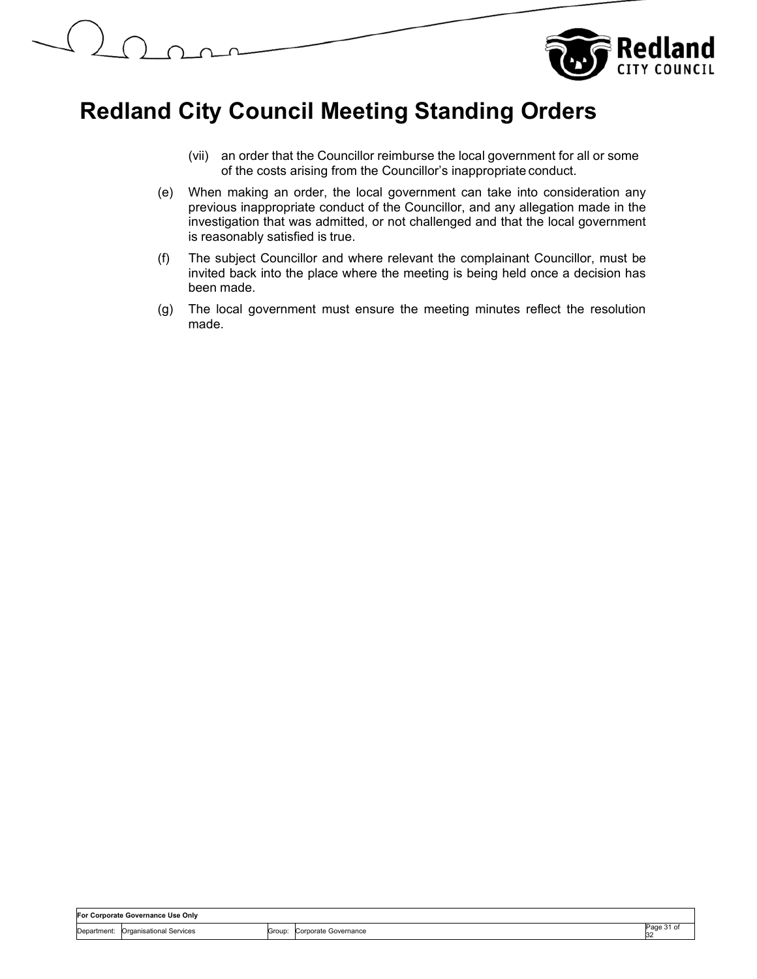

- (vii) an order that the Councillor reimburse the local government for all or some of the costs arising from the Councillor's inappropriate conduct.
- (e) When making an order, the local government can take into consideration any previous inappropriate conduct of the Councillor, and any allegation made in the investigation that was admitted, or not challenged and that the local government is reasonably satisfied is true.
- (f) The subject Councillor and where relevant the complainant Councillor, must be invited back into the place where the meeting is being held once a decision has been made.
- (g) The local government must ensure the meeting minutes reflect the resolution made.

| For Corporate Governance Use Only |                         |        |                      |            |
|-----------------------------------|-------------------------|--------|----------------------|------------|
| Department:                       | Organisational Services | Group: | Corporate Governance | Page<br>32 |
|                                   |                         |        |                      |            |